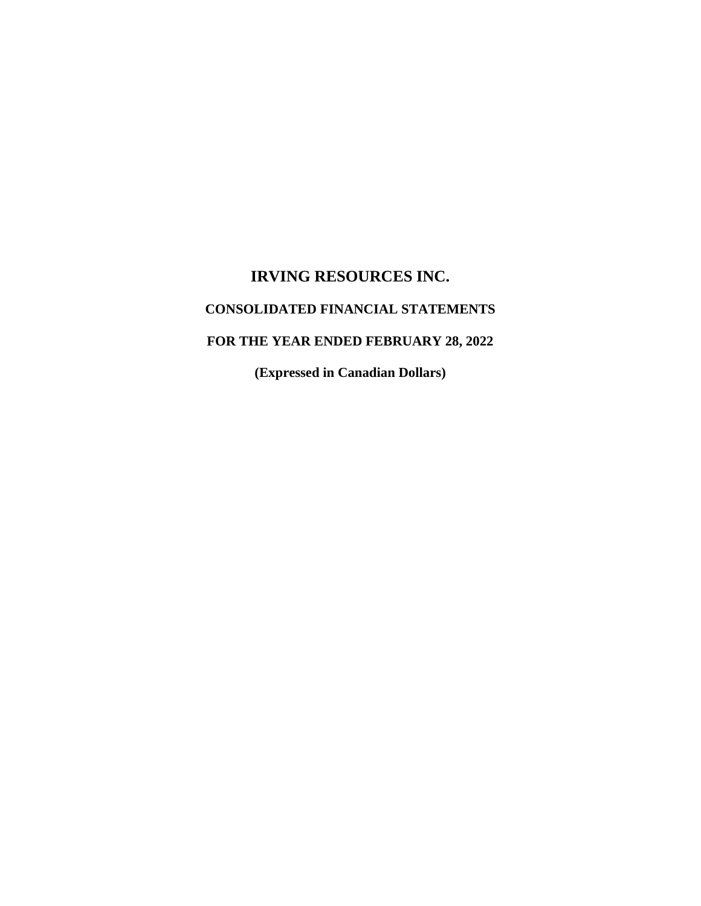# **IRVING RESOURCES INC. CONSOLIDATED FINANCIAL STATEMENTS FOR THE YEAR ENDED FEBRUARY 28, 2022**

**(Expressed in Canadian Dollars)**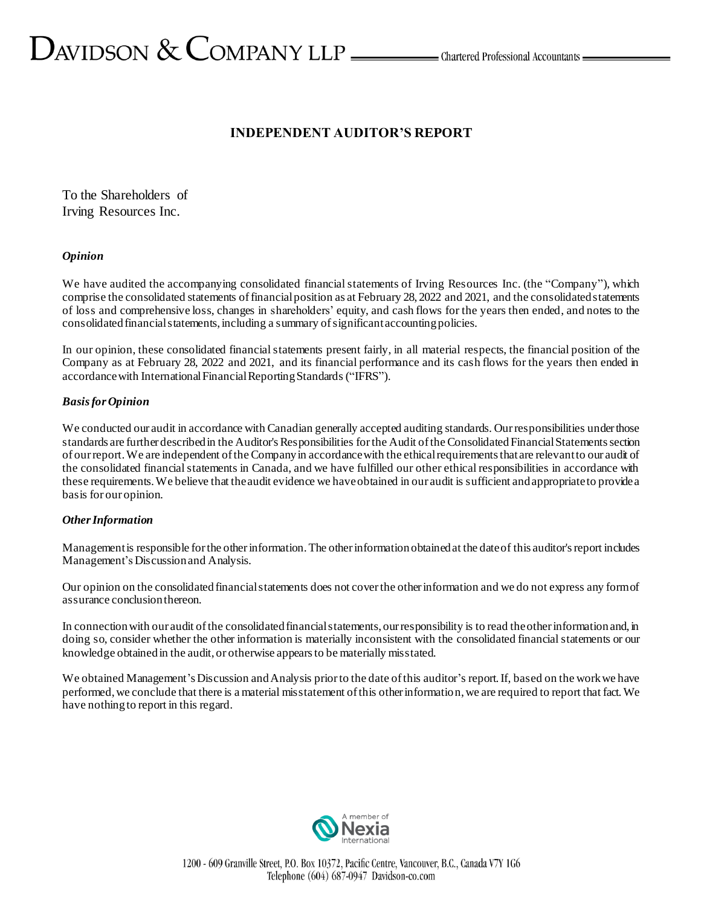# $D_{\text{AVIDSON}} \ \&\ \text{COMPANY LLP} \_\text{\tiny{LIP}}$  Chartered Professional Accountants  $D_{\text{AVIDSON}}$

# **INDEPENDENT AUDITOR'S REPORT**

To the Shareholders of Irving Resources Inc.

#### *Opinion*

We have audited the accompanying consolidated financial statements of Irving Resources Inc. (the "Company"), which comprise the consolidated statements of financial position as at February 28, 2022 and 2021, and the consolidated statements of loss and comprehensive loss, changes in shareholders' equity, and cash flows for the years then ended, and notes to the consolidated financial statements, including a summary of significant accounting policies.

In our opinion, these consolidated financial statements present fairly, in all material respects, the financial position of the Company as at February 28, 2022 and 2021, and its financial performance and its cash flows for the years then ended in accordance with International Financial Reporting Standards ("IFRS").

#### *Basis for Opinion*

We conducted our audit in accordance with Canadian generally accepted auditing standards. Our responsibilities under those standards are further described in the Auditor's Responsibilities for the Audit of the Consolidated Financial Statements section of our report. We are independent of the Company in accordance with the ethical requirements that are relevant to our audit of the consolidated financial statements in Canada, and we have fulfilled our other ethical responsibilities in accordance with these requirements. We believe that the audit evidence we have obtained in our audit is sufficient and appropriate to provide a basis for our opinion.

#### *Other Information*

Management is responsible for the other information. The other information obtained at the date of this auditor's report includes Management's Discussion and Analysis.

Our opinion on the consolidated financial statements does not cover the other information and we do not express any form of assurance conclusion thereon.

In connection with our audit of the consolidated financial statements, our responsibility is to read the other information and, in doing so, consider whether the other information is materially inconsistent with the consolidated financial statements or our knowledge obtained in the audit, or otherwise appears to be materially misstated.

We obtained Management's Discussion and Analysis prior to the date of this auditor's report.If, based on the work we have performed, we conclude that there is a material misstatement of this other information, we are required to report that fact. We have nothing to report in this regard.

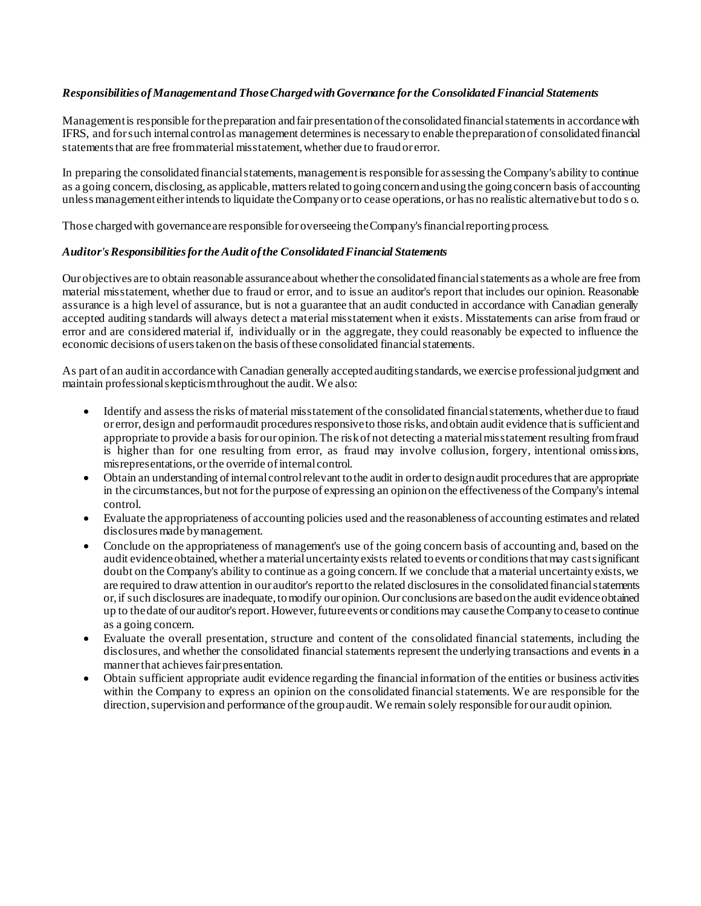#### *Responsibilities of Management and Those Charged with Governance for the Consolidated Financial Statements*

Management is responsible for the preparation and fair presentation of the consolidated financial statements in accordance with IFRS, and for such internal control as management determines is necessary to enable the preparation of consolidated financial statements that are free from material misstatement, whether due to fraud or error.

In preparing the consolidated financial statements, management is responsible for assessing the Company's ability to continue as a going concern, disclosing, as applicable, matters related to going concern and using the going concern basis of accounting unless management either intends to liquidate the Company or to cease operations, or has no realistic alternative but to do s o.

Those charged with governance are responsible for overseeing the Company's financial reporting process.

#### *Auditor's Responsibilities for the Audit of the Consolidated Financial Statements*

Our objectives are to obtain reasonable assurance about whether the consolidated financial statements as a whole are free from material misstatement, whether due to fraud or error, and to issue an auditor's report that includes our opinion. Reasonable assurance is a high level of assurance, but is not a guarantee that an audit conducted in accordance with Canadian generally accepted auditing standards will always detect a material misstatement when it exists. Misstatements can arise from fraud or error and are considered material if, individually or in the aggregate, they could reasonably be expected to influence the economic decisions of users taken on the basis of these consolidated financial statements.

As part of an audit in accordance with Canadian generally accepted auditing standards, we exercise professional judgment and maintain professional skepticism throughout the audit. We also:

- Identify and assess the risks of material misstatement of the consolidated financial statements, whether due to fraud or error, design and perform audit procedures responsive to those risks, and obtain audit evidence that is sufficient and appropriate to provide a basis for our opinion. The risk of not detecting a material misstatement resulting from fraud is higher than for one resulting from error, as fraud may involve collusion, forgery, intentional omissions, misrepresentations, or the override of internal control.
- Obtain an understanding of internal control relevant to the audit in order to design audit procedures that are appropriate in the circumstances, but not for the purpose of expressing an opinion on the effectiveness of the Company's internal control.
- Evaluate the appropriateness of accounting policies used and the reasonableness of accounting estimates and related disclosures made by management.
- Conclude on the appropriateness of management's use of the going concern basis of accounting and, based on the audit evidence obtained, whether a material uncertainty exists related to events or conditions that may cast significant doubt on the Company's ability to continue as a going concern. If we conclude that a material uncertainty exists, we are required to draw attention in our auditor's report to the related disclosures in the consolidated financial statements or, if such disclosures are inadequate, to modify our opinion. Our conclusions are based on the audit evidence obtained up to the date of our auditor's report. However, future events or conditions may cause the Company to cease to continue as a going concern.
- Evaluate the overall presentation, structure and content of the consolidated financial statements, including the disclosures, and whether the consolidated financial statements represent the underlying transactions and events in a manner that achieves fair presentation.
- Obtain sufficient appropriate audit evidence regarding the financial information of the entities or business activities within the Company to express an opinion on the consolidated financial statements. We are responsible for the direction, supervision and performance of the group audit. We remain solely responsible for our audit opinion.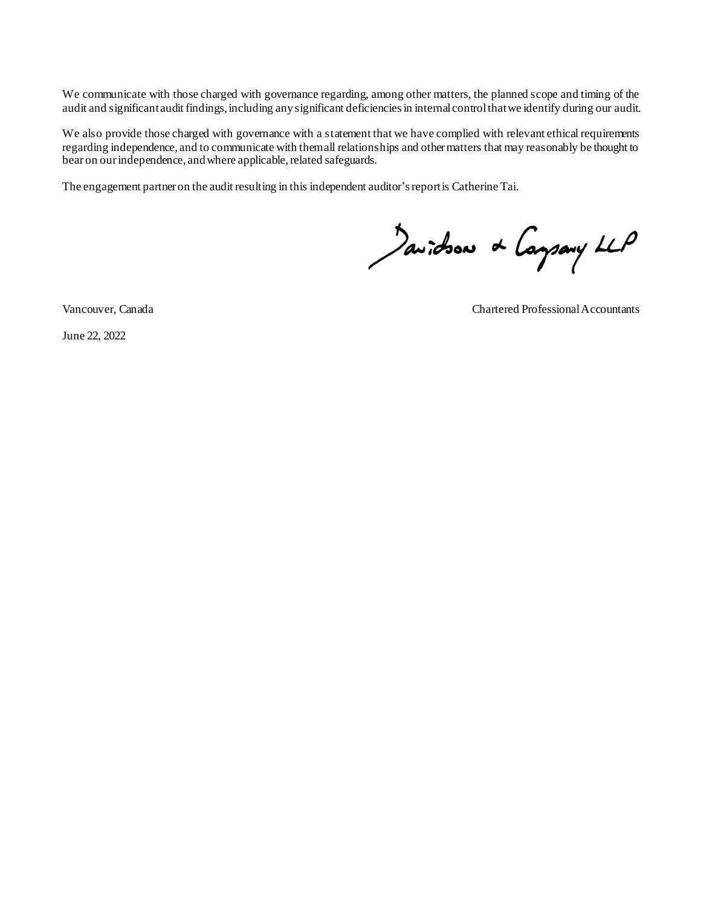We communicate with those charged with governance regarding, among other matters, the planned scope and timing of the audit and significant audit findings, including any significant deficiencies in internal control that we identify during our audit.

We also provide those charged with governance with a statement that we have complied with relevant ethical requirements regarding independence, and to communicate with them all relationships and other matters that may reasonably be thought to bear on our independence, and where applicable, related safeguards.

The engagement partner on the audit resulting in this independent auditor's report is Catherine Tai.

Javidson & Caysary LLP

June 22, 2022

Vancouver, Canada Chartered Professional Accountants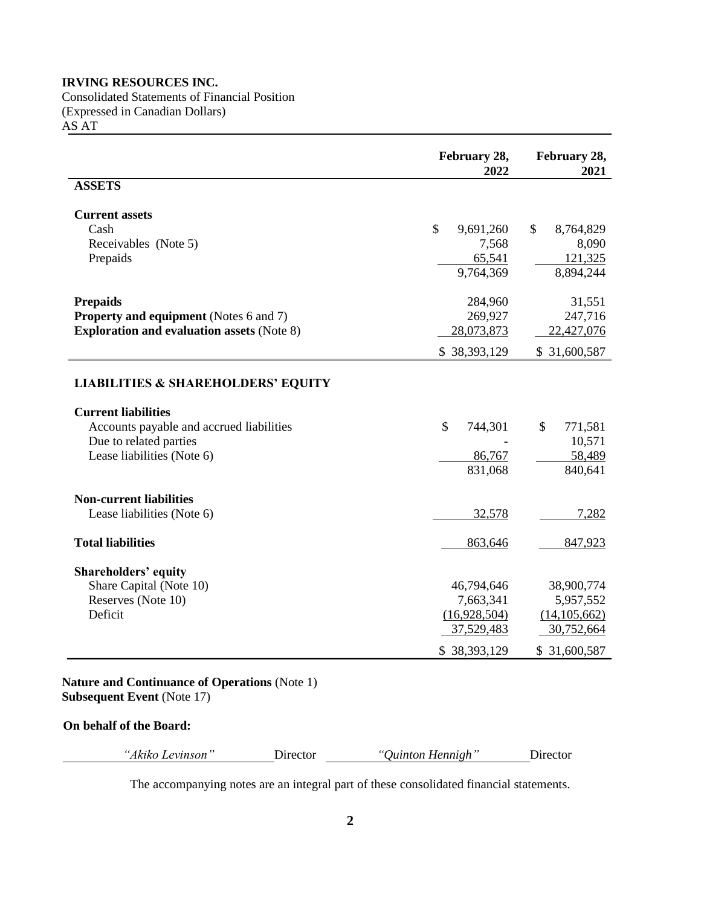Consolidated Statements of Financial Position (Expressed in Canadian Dollars) AS AT

|                                                                             | February 28,<br>2022 | February 28,<br>2021 |
|-----------------------------------------------------------------------------|----------------------|----------------------|
| <b>ASSETS</b>                                                               |                      |                      |
| <b>Current assets</b>                                                       |                      |                      |
| Cash                                                                        | \$<br>9,691,260      | \$<br>8,764,829      |
| Receivables (Note 5)                                                        | 7,568                | 8,090                |
| Prepaids                                                                    | 65,541               | 121,325              |
|                                                                             | 9,764,369            | 8,894,244            |
| <b>Prepaids</b>                                                             | 284,960              | 31,551               |
| Property and equipment (Notes 6 and 7)                                      | 269,927              | 247,716              |
| <b>Exploration and evaluation assets (Note 8)</b>                           | 28,073,873           | 22,427,076           |
|                                                                             | \$38,393,129         | \$ 31,600,587        |
| <b>LIABILITIES &amp; SHAREHOLDERS' EQUITY</b><br><b>Current liabilities</b> |                      |                      |
| Accounts payable and accrued liabilities                                    | \$<br>744,301        | \$<br>771,581        |
| Due to related parties                                                      |                      | 10,571               |
| Lease liabilities (Note 6)                                                  | 86,767               | 58,489               |
|                                                                             | 831,068              | 840,641              |
| <b>Non-current liabilities</b>                                              |                      |                      |
| Lease liabilities (Note 6)                                                  | 32,578               | 7,282                |
| <b>Total liabilities</b>                                                    | 863,646              | 847,923              |
| <b>Shareholders' equity</b>                                                 |                      |                      |
| Share Capital (Note 10)                                                     | 46,794,646           | 38,900,774           |
| Reserves (Note 10)                                                          | 7,663,341            | 5,957,552            |
| Deficit                                                                     | (16,928,504)         | (14, 105, 662)       |
|                                                                             | 37,529,483           | 30,752,664           |
|                                                                             | \$38,393,129         | \$31,600,587         |

# **Nature and Continuance of Operations** (Note 1) **Subsequent Event** (Note 17)

# **On behalf of the Board:**

| "Akiko Levinson" | Director | "Quinton Hennigh" | Director |
|------------------|----------|-------------------|----------|
|------------------|----------|-------------------|----------|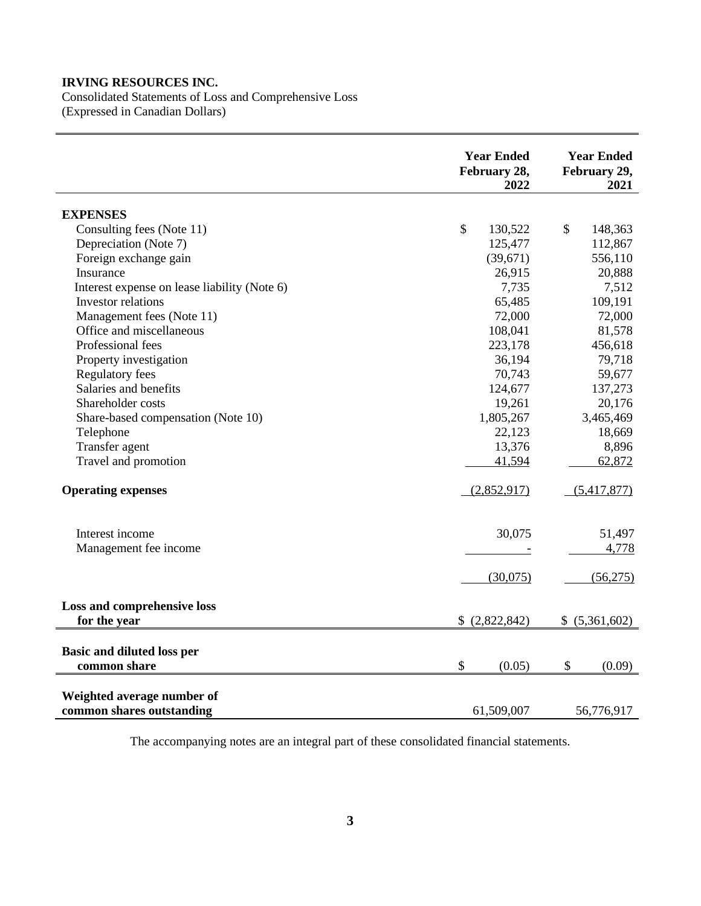Consolidated Statements of Loss and Comprehensive Loss (Expressed in Canadian Dollars)

|                                                   | <b>Year Ended</b><br>February 28,<br>2022 | <b>Year Ended</b><br>February 29,<br>2021 |
|---------------------------------------------------|-------------------------------------------|-------------------------------------------|
| <b>EXPENSES</b>                                   |                                           |                                           |
| Consulting fees (Note 11)                         | \$<br>130,522                             | \$<br>148,363                             |
| Depreciation (Note 7)                             | 125,477                                   | 112,867                                   |
| Foreign exchange gain                             | (39,671)                                  | 556,110                                   |
| Insurance                                         | 26,915                                    | 20,888                                    |
| Interest expense on lease liability (Note 6)      | 7,735                                     | 7,512                                     |
| Investor relations                                | 65,485                                    | 109,191                                   |
| Management fees (Note 11)                         | 72,000                                    | 72,000                                    |
| Office and miscellaneous                          | 108,041                                   | 81,578                                    |
| Professional fees                                 | 223,178                                   | 456,618                                   |
| Property investigation                            | 36,194                                    | 79,718                                    |
| <b>Regulatory fees</b>                            | 70,743                                    | 59,677                                    |
| Salaries and benefits                             | 124,677                                   | 137,273                                   |
| Shareholder costs                                 | 19,261                                    | 20,176                                    |
| Share-based compensation (Note 10)                | 1,805,267                                 | 3,465,469                                 |
| Telephone                                         | 22,123                                    | 18,669                                    |
| Transfer agent                                    | 13,376                                    | 8,896                                     |
| Travel and promotion                              | 41,594                                    | 62,872                                    |
| <b>Operating expenses</b>                         | (2,852,917)                               | (5,417,877)                               |
| Interest income                                   | 30,075                                    | 51,497                                    |
| Management fee income                             |                                           | 4,778                                     |
|                                                   | (30,075)                                  | (56,275)                                  |
| Loss and comprehensive loss<br>for the year       | (2,822,842)                               | \$ (5,361,602)                            |
|                                                   |                                           |                                           |
| <b>Basic and diluted loss per</b><br>common share | \$<br>(0.05)                              | \$<br>(0.09)                              |
|                                                   |                                           |                                           |
| Weighted average number of                        |                                           |                                           |
| common shares outstanding                         | 61,509,007                                | 56,776,917                                |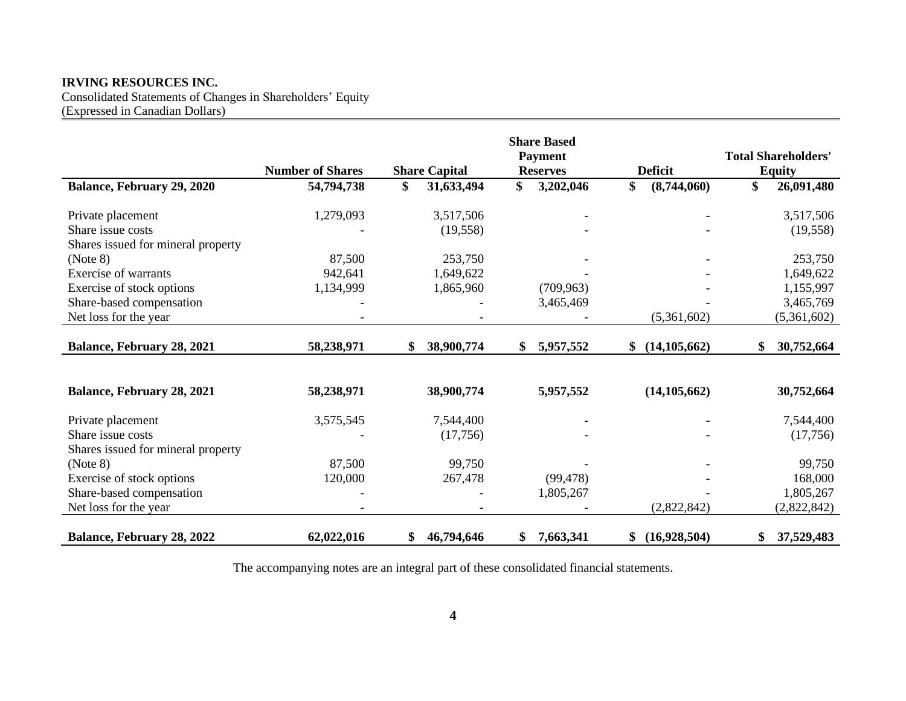Consolidated Statements of Changes in Shareholders' Equity (Expressed in Canadian Dollars)

|                                    | <b>Number of Shares</b> | <b>Share Capital</b> | <b>Share Based</b><br><b>Payment</b><br><b>Reserves</b> | <b>Deficit</b>       | <b>Total Shareholders'</b><br><b>Equity</b> |
|------------------------------------|-------------------------|----------------------|---------------------------------------------------------|----------------------|---------------------------------------------|
| <b>Balance, February 29, 2020</b>  | 54,794,738              | \$<br>31,633,494     | 3,202,046<br>\$                                         | (8,744,060)<br>\$    | \$<br>26,091,480                            |
| Private placement                  | 1,279,093               | 3,517,506            |                                                         |                      | 3,517,506                                   |
| Share issue costs                  |                         | (19, 558)            |                                                         |                      | (19, 558)                                   |
| Shares issued for mineral property |                         |                      |                                                         |                      |                                             |
| (Note 8)                           | 87,500                  | 253,750              |                                                         |                      | 253,750                                     |
| <b>Exercise of warrants</b>        | 942,641                 | 1,649,622            |                                                         |                      | 1,649,622                                   |
| Exercise of stock options          | 1,134,999               | 1,865,960            | (709, 963)                                              |                      | 1,155,997                                   |
| Share-based compensation           |                         |                      | 3,465,469                                               |                      | 3,465,769                                   |
| Net loss for the year              |                         |                      |                                                         | (5,361,602)          | (5,361,602)                                 |
|                                    |                         |                      |                                                         |                      |                                             |
| <b>Balance, February 28, 2021</b>  | 58,238,971              | \$<br>38,900,774     | 5,957,552<br>\$                                         | (14, 105, 662)<br>\$ | 30,752,664<br>\$                            |
|                                    |                         |                      |                                                         |                      |                                             |
| <b>Balance, February 28, 2021</b>  | 58,238,971              | 38,900,774           | 5,957,552                                               | (14, 105, 662)       | 30,752,664                                  |
| Private placement                  | 3,575,545               | 7,544,400            |                                                         |                      | 7,544,400                                   |
| Share issue costs                  |                         | (17,756)             |                                                         |                      | (17,756)                                    |
| Shares issued for mineral property |                         |                      |                                                         |                      |                                             |
| (Note 8)                           | 87,500                  | 99,750               |                                                         |                      | 99,750                                      |
| Exercise of stock options          | 120,000                 | 267,478              | (99, 478)                                               |                      | 168,000                                     |
| Share-based compensation           |                         |                      | 1,805,267                                               |                      | 1,805,267                                   |
| Net loss for the year              |                         |                      |                                                         | (2,822,842)          | (2,822,842)                                 |
| <b>Balance, February 28, 2022</b>  | 62,022,016              | \$<br>46,794,646     | 7,663,341<br>\$                                         | \$(16,928,504)       | 37,529,483<br>\$                            |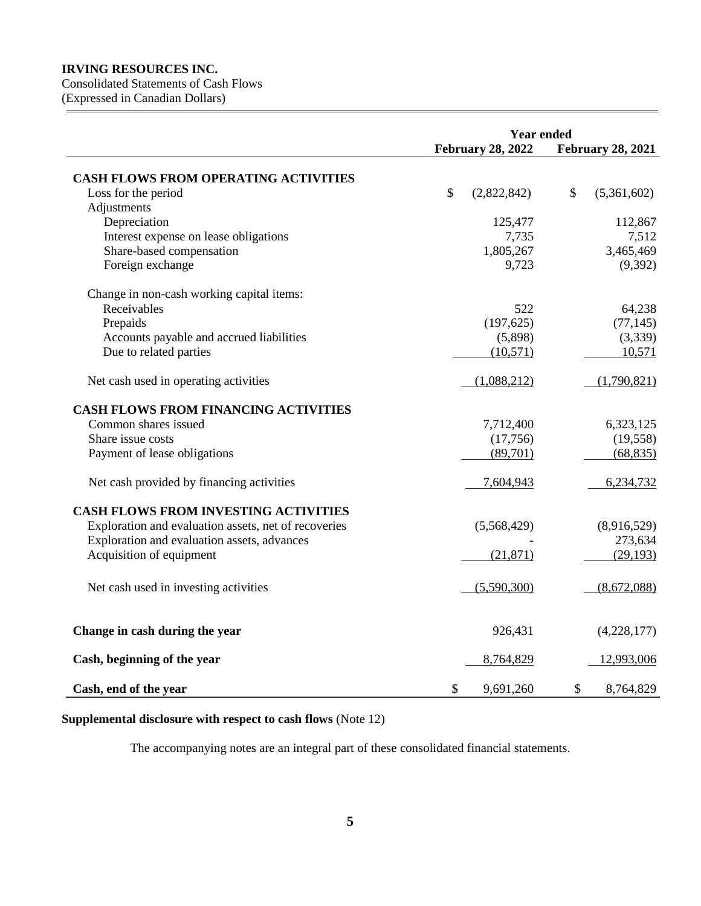Consolidated Statements of Cash Flows (Expressed in Canadian Dollars)

|                                                      | <b>Year ended</b><br><b>February 28, 2022</b><br><b>February 28, 2021</b> |                   |  |
|------------------------------------------------------|---------------------------------------------------------------------------|-------------------|--|
|                                                      |                                                                           |                   |  |
| <b>CASH FLOWS FROM OPERATING ACTIVITIES</b>          |                                                                           |                   |  |
| Loss for the period                                  | \$<br>(2,822,842)                                                         | \$<br>(5,361,602) |  |
| Adjustments                                          |                                                                           |                   |  |
| Depreciation                                         | 125,477                                                                   | 112,867           |  |
| Interest expense on lease obligations                | 7,735                                                                     | 7,512             |  |
| Share-based compensation                             | 1,805,267                                                                 | 3,465,469         |  |
| Foreign exchange                                     | 9,723                                                                     | (9,392)           |  |
| Change in non-cash working capital items:            |                                                                           |                   |  |
| Receivables                                          | 522                                                                       | 64,238            |  |
| Prepaids                                             | (197, 625)                                                                | (77, 145)         |  |
| Accounts payable and accrued liabilities             | (5,898)                                                                   | (3,339)           |  |
| Due to related parties                               | (10,571)                                                                  | 10,571            |  |
| Net cash used in operating activities                | (1,088,212)                                                               | (1,790,821)       |  |
| <b>CASH FLOWS FROM FINANCING ACTIVITIES</b>          |                                                                           |                   |  |
| Common shares issued                                 | 7,712,400                                                                 | 6,323,125         |  |
| Share issue costs                                    | (17,756)                                                                  | (19, 558)         |  |
| Payment of lease obligations                         | (89,701)                                                                  | (68, 835)         |  |
| Net cash provided by financing activities            | 7,604,943                                                                 | 6,234,732         |  |
| <b>CASH FLOWS FROM INVESTING ACTIVITIES</b>          |                                                                           |                   |  |
| Exploration and evaluation assets, net of recoveries | (5,568,429)                                                               | (8,916,529)       |  |
| Exploration and evaluation assets, advances          |                                                                           | 273,634           |  |
| Acquisition of equipment                             | (21, 871)                                                                 | (29, 193)         |  |
| Net cash used in investing activities                | (5,590,300)                                                               | (8,672,088)       |  |
| Change in cash during the year                       | 926,431                                                                   | (4,228,177)       |  |
| Cash, beginning of the year                          | 8,764,829                                                                 | 12,993,006        |  |
| Cash, end of the year                                | \$<br>9,691,260                                                           | \$<br>8,764,829   |  |

# **Supplemental disclosure with respect to cash flows** (Note 12)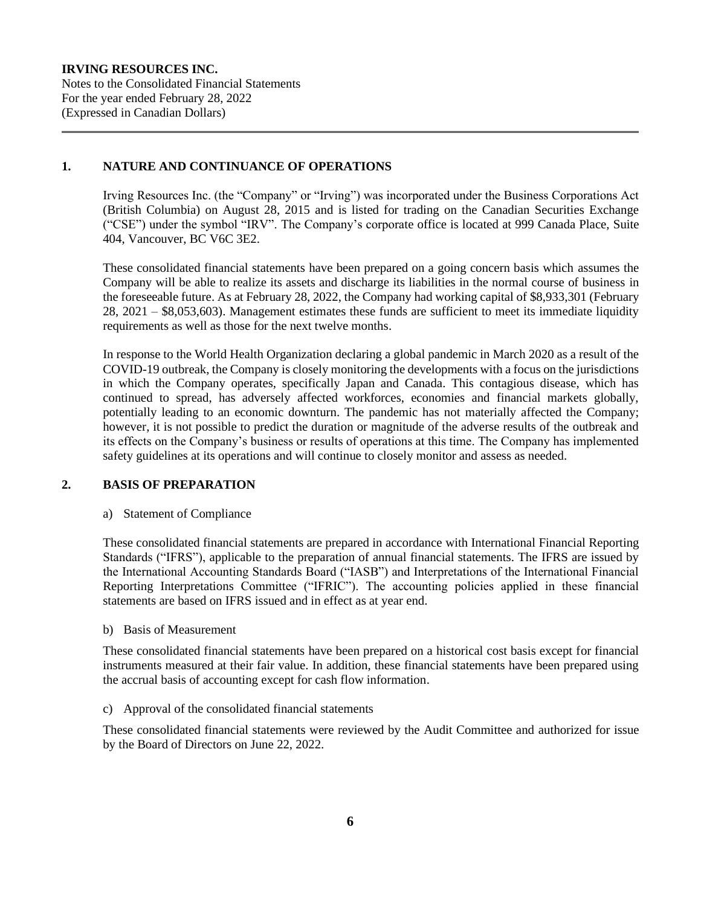Notes to the Consolidated Financial Statements For the year ended February 28, 2022 (Expressed in Canadian Dollars)

#### **1. NATURE AND CONTINUANCE OF OPERATIONS**

Irving Resources Inc. (the "Company" or "Irving") was incorporated under the Business Corporations Act (British Columbia) on August 28, 2015 and is listed for trading on the Canadian Securities Exchange ("CSE") under the symbol "IRV". The Company's corporate office is located at 999 Canada Place, Suite 404, Vancouver, BC V6C 3E2.

These consolidated financial statements have been prepared on a going concern basis which assumes the Company will be able to realize its assets and discharge its liabilities in the normal course of business in the foreseeable future. As at February 28, 2022, the Company had working capital of \$8,933,301 (February 28, 2021 – \$8,053,603). Management estimates these funds are sufficient to meet its immediate liquidity requirements as well as those for the next twelve months.

In response to the World Health Organization declaring a global pandemic in March 2020 as a result of the COVID-19 outbreak, the Company is closely monitoring the developments with a focus on the jurisdictions in which the Company operates, specifically Japan and Canada. This contagious disease, which has continued to spread, has adversely affected workforces, economies and financial markets globally, potentially leading to an economic downturn. The pandemic has not materially affected the Company; however, it is not possible to predict the duration or magnitude of the adverse results of the outbreak and its effects on the Company's business or results of operations at this time. The Company has implemented safety guidelines at its operations and will continue to closely monitor and assess as needed.

#### **2. BASIS OF PREPARATION**

#### a) Statement of Compliance

These consolidated financial statements are prepared in accordance with International Financial Reporting Standards ("IFRS"), applicable to the preparation of annual financial statements. The IFRS are issued by the International Accounting Standards Board ("IASB") and Interpretations of the International Financial Reporting Interpretations Committee ("IFRIC"). The accounting policies applied in these financial statements are based on IFRS issued and in effect as at year end.

b) Basis of Measurement

These consolidated financial statements have been prepared on a historical cost basis except for financial instruments measured at their fair value. In addition, these financial statements have been prepared using the accrual basis of accounting except for cash flow information.

c) Approval of the consolidated financial statements

These consolidated financial statements were reviewed by the Audit Committee and authorized for issue by the Board of Directors on June 22, 2022.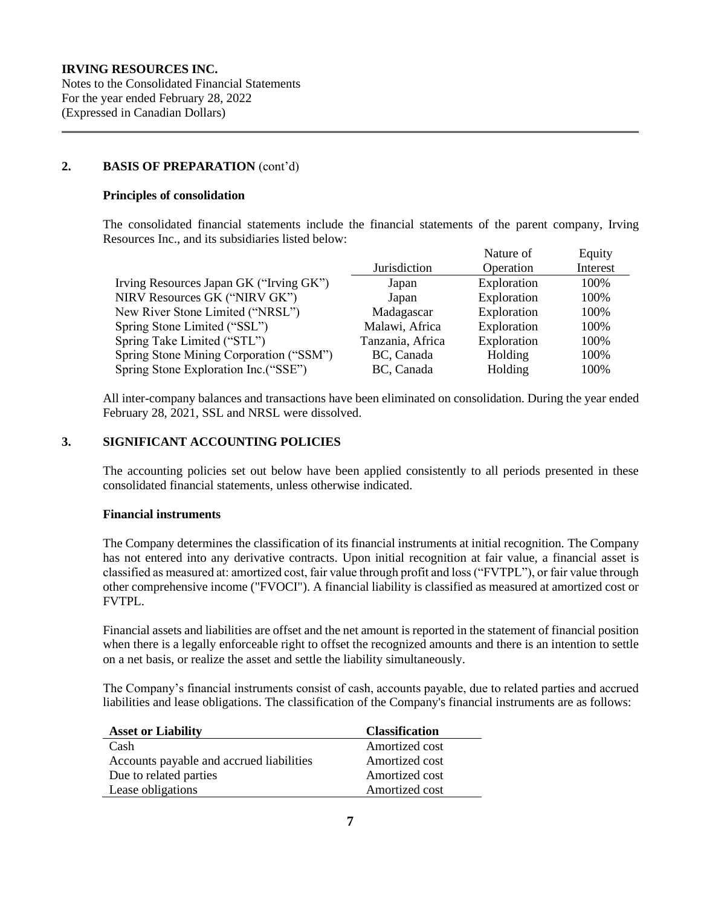Notes to the Consolidated Financial Statements For the year ended February 28, 2022 (Expressed in Canadian Dollars)

#### **2. BASIS OF PREPARATION** (cont'd)

#### **Principles of consolidation**

The consolidated financial statements include the financial statements of the parent company, Irving Resources Inc., and its subsidiaries listed below: Nature of  $E = \frac{1}{2}$ 

|                     | Nature of   | Equity   |
|---------------------|-------------|----------|
| <b>Jurisdiction</b> | Operation   | Interest |
| Japan               | Exploration | 100%     |
| Japan               | Exploration | 100%     |
| Madagascar          | Exploration | 100%     |
| Malawi, Africa      | Exploration | 100%     |
| Tanzania, Africa    | Exploration | 100%     |
| BC, Canada          | Holding     | 100%     |
| BC, Canada          | Holding     | 100%     |
|                     |             |          |

All inter-company balances and transactions have been eliminated on consolidation. During the year ended February 28, 2021, SSL and NRSL were dissolved.

#### **3. SIGNIFICANT ACCOUNTING POLICIES**

The accounting policies set out below have been applied consistently to all periods presented in these consolidated financial statements, unless otherwise indicated.

#### **Financial instruments**

The Company determines the classification of its financial instruments at initial recognition. The Company has not entered into any derivative contracts. Upon initial recognition at fair value, a financial asset is classified as measured at: amortized cost, fair value through profit and loss ("FVTPL"), or fair value through other comprehensive income ("FVOCI"). A financial liability is classified as measured at amortized cost or FVTPL.

Financial assets and liabilities are offset and the net amount is reported in the statement of financial position when there is a legally enforceable right to offset the recognized amounts and there is an intention to settle on a net basis, or realize the asset and settle the liability simultaneously.

The Company's financial instruments consist of cash, accounts payable, due to related parties and accrued liabilities and lease obligations. The classification of the Company's financial instruments are as follows:

| <b>Asset or Liability</b>                | <b>Classification</b> |
|------------------------------------------|-----------------------|
| Cash                                     | Amortized cost        |
| Accounts payable and accrued liabilities | Amortized cost        |
| Due to related parties                   | Amortized cost        |
| Lease obligations                        | Amortized cost        |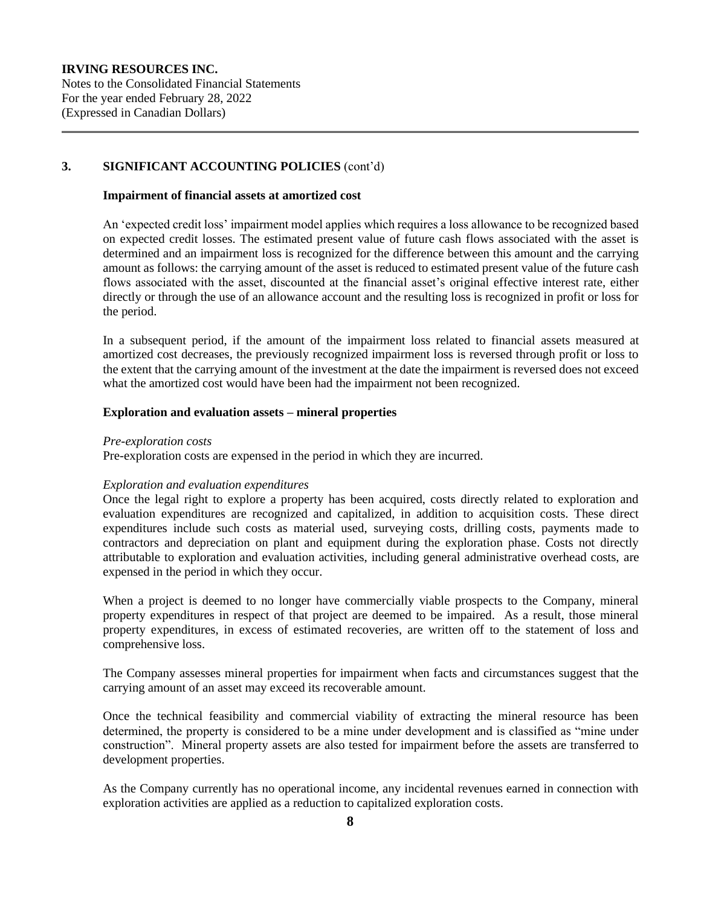Notes to the Consolidated Financial Statements For the year ended February 28, 2022 (Expressed in Canadian Dollars)

# **3. SIGNIFICANT ACCOUNTING POLICIES** (cont'd)

#### **Impairment of financial assets at amortized cost**

An 'expected credit loss' impairment model applies which requires a loss allowance to be recognized based on expected credit losses. The estimated present value of future cash flows associated with the asset is determined and an impairment loss is recognized for the difference between this amount and the carrying amount as follows: the carrying amount of the asset is reduced to estimated present value of the future cash flows associated with the asset, discounted at the financial asset's original effective interest rate, either directly or through the use of an allowance account and the resulting loss is recognized in profit or loss for the period.

In a subsequent period, if the amount of the impairment loss related to financial assets measured at amortized cost decreases, the previously recognized impairment loss is reversed through profit or loss to the extent that the carrying amount of the investment at the date the impairment is reversed does not exceed what the amortized cost would have been had the impairment not been recognized.

#### **Exploration and evaluation assets – mineral properties**

#### *Pre-exploration costs*

Pre-exploration costs are expensed in the period in which they are incurred.

#### *Exploration and evaluation expenditures*

Once the legal right to explore a property has been acquired, costs directly related to exploration and evaluation expenditures are recognized and capitalized, in addition to acquisition costs. These direct expenditures include such costs as material used, surveying costs, drilling costs, payments made to contractors and depreciation on plant and equipment during the exploration phase. Costs not directly attributable to exploration and evaluation activities, including general administrative overhead costs, are expensed in the period in which they occur.

When a project is deemed to no longer have commercially viable prospects to the Company, mineral property expenditures in respect of that project are deemed to be impaired. As a result, those mineral property expenditures, in excess of estimated recoveries, are written off to the statement of loss and comprehensive loss.

The Company assesses mineral properties for impairment when facts and circumstances suggest that the carrying amount of an asset may exceed its recoverable amount.

Once the technical feasibility and commercial viability of extracting the mineral resource has been determined, the property is considered to be a mine under development and is classified as "mine under construction". Mineral property assets are also tested for impairment before the assets are transferred to development properties.

As the Company currently has no operational income, any incidental revenues earned in connection with exploration activities are applied as a reduction to capitalized exploration costs.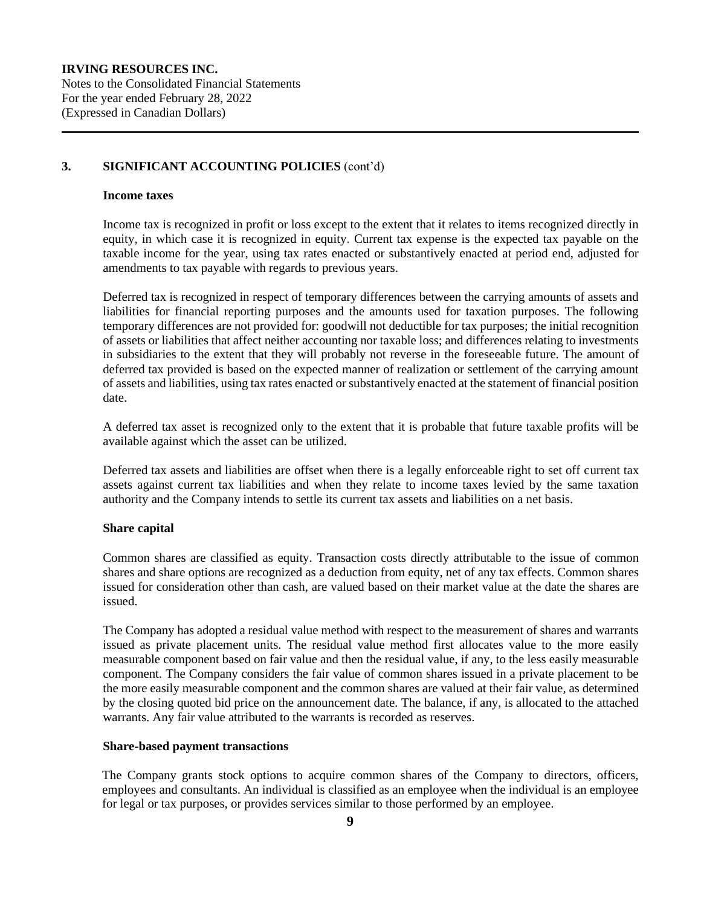Notes to the Consolidated Financial Statements For the year ended February 28, 2022 (Expressed in Canadian Dollars)

#### **3. SIGNIFICANT ACCOUNTING POLICIES** (cont'd)

#### **Income taxes**

Income tax is recognized in profit or loss except to the extent that it relates to items recognized directly in equity, in which case it is recognized in equity. Current tax expense is the expected tax payable on the taxable income for the year, using tax rates enacted or substantively enacted at period end, adjusted for amendments to tax payable with regards to previous years.

Deferred tax is recognized in respect of temporary differences between the carrying amounts of assets and liabilities for financial reporting purposes and the amounts used for taxation purposes. The following temporary differences are not provided for: goodwill not deductible for tax purposes; the initial recognition of assets or liabilities that affect neither accounting nor taxable loss; and differences relating to investments in subsidiaries to the extent that they will probably not reverse in the foreseeable future. The amount of deferred tax provided is based on the expected manner of realization or settlement of the carrying amount of assets and liabilities, using tax rates enacted or substantively enacted at the statement of financial position date.

A deferred tax asset is recognized only to the extent that it is probable that future taxable profits will be available against which the asset can be utilized.

Deferred tax assets and liabilities are offset when there is a legally enforceable right to set off current tax assets against current tax liabilities and when they relate to income taxes levied by the same taxation authority and the Company intends to settle its current tax assets and liabilities on a net basis.

#### **Share capital**

Common shares are classified as equity. Transaction costs directly attributable to the issue of common shares and share options are recognized as a deduction from equity, net of any tax effects. Common shares issued for consideration other than cash, are valued based on their market value at the date the shares are issued.

The Company has adopted a residual value method with respect to the measurement of shares and warrants issued as private placement units. The residual value method first allocates value to the more easily measurable component based on fair value and then the residual value, if any, to the less easily measurable component. The Company considers the fair value of common shares issued in a private placement to be the more easily measurable component and the common shares are valued at their fair value, as determined by the closing quoted bid price on the announcement date. The balance, if any, is allocated to the attached warrants. Any fair value attributed to the warrants is recorded as reserves.

#### **Share-based payment transactions**

The Company grants stock options to acquire common shares of the Company to directors, officers, employees and consultants. An individual is classified as an employee when the individual is an employee for legal or tax purposes, or provides services similar to those performed by an employee.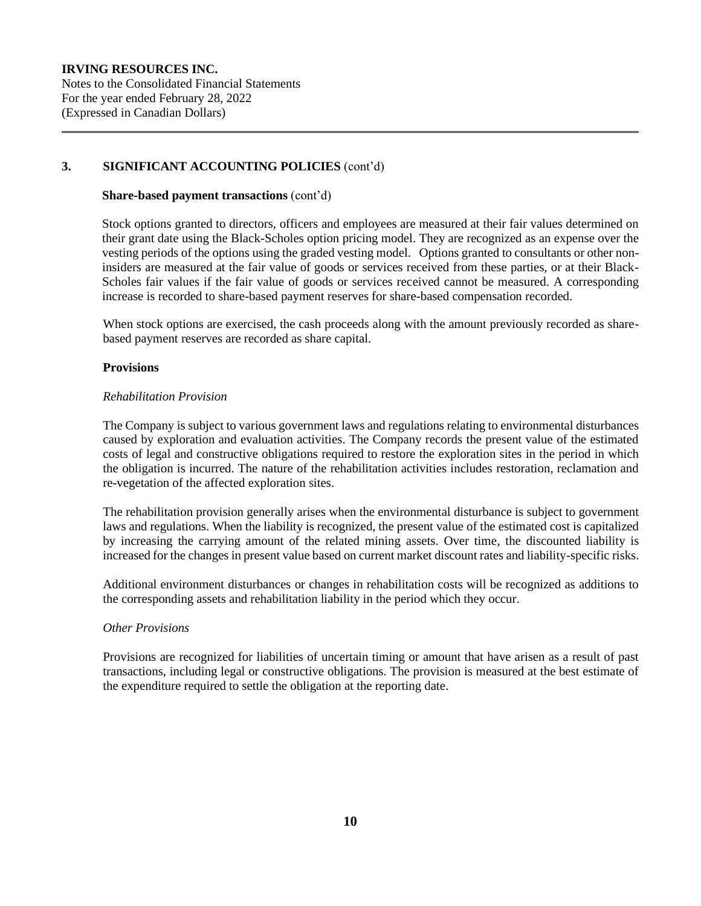Notes to the Consolidated Financial Statements For the year ended February 28, 2022 (Expressed in Canadian Dollars)

# **3. SIGNIFICANT ACCOUNTING POLICIES** (cont'd)

#### **Share-based payment transactions** (cont'd)

Stock options granted to directors, officers and employees are measured at their fair values determined on their grant date using the Black-Scholes option pricing model. They are recognized as an expense over the vesting periods of the options using the graded vesting model. Options granted to consultants or other noninsiders are measured at the fair value of goods or services received from these parties, or at their Black-Scholes fair values if the fair value of goods or services received cannot be measured. A corresponding increase is recorded to share-based payment reserves for share-based compensation recorded.

When stock options are exercised, the cash proceeds along with the amount previously recorded as sharebased payment reserves are recorded as share capital.

#### **Provisions**

#### *Rehabilitation Provision*

The Company is subject to various government laws and regulations relating to environmental disturbances caused by exploration and evaluation activities. The Company records the present value of the estimated costs of legal and constructive obligations required to restore the exploration sites in the period in which the obligation is incurred. The nature of the rehabilitation activities includes restoration, reclamation and re-vegetation of the affected exploration sites.

The rehabilitation provision generally arises when the environmental disturbance is subject to government laws and regulations. When the liability is recognized, the present value of the estimated cost is capitalized by increasing the carrying amount of the related mining assets. Over time, the discounted liability is increased for the changes in present value based on current market discount rates and liability-specific risks.

Additional environment disturbances or changes in rehabilitation costs will be recognized as additions to the corresponding assets and rehabilitation liability in the period which they occur.

#### *Other Provisions*

Provisions are recognized for liabilities of uncertain timing or amount that have arisen as a result of past transactions, including legal or constructive obligations. The provision is measured at the best estimate of the expenditure required to settle the obligation at the reporting date.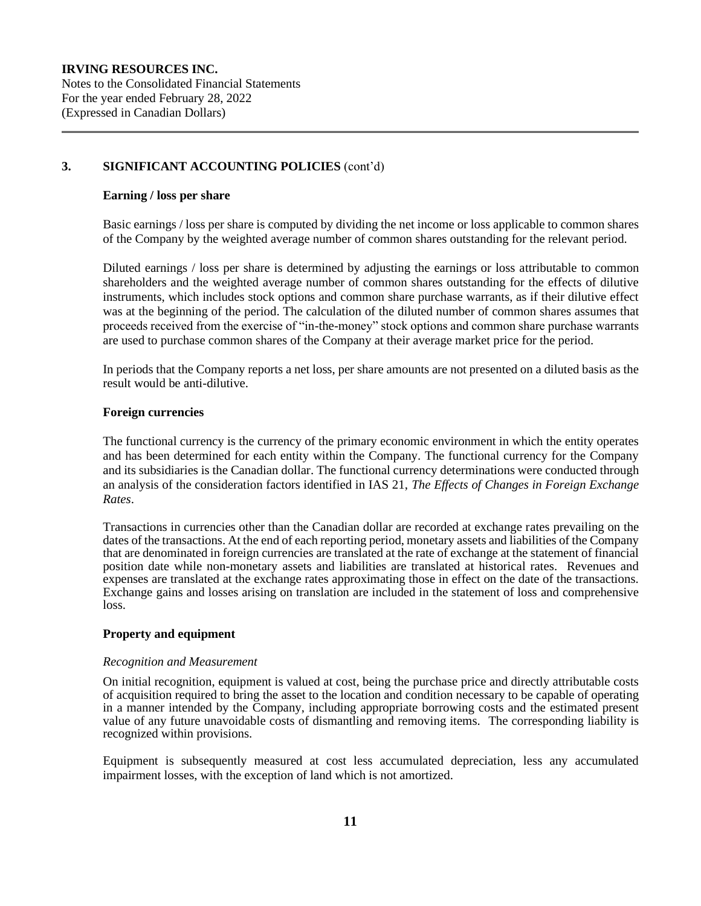Notes to the Consolidated Financial Statements For the year ended February 28, 2022 (Expressed in Canadian Dollars)

#### **3. SIGNIFICANT ACCOUNTING POLICIES** (cont'd)

#### **Earning / loss per share**

Basic earnings / loss per share is computed by dividing the net income or loss applicable to common shares of the Company by the weighted average number of common shares outstanding for the relevant period.

Diluted earnings / loss per share is determined by adjusting the earnings or loss attributable to common shareholders and the weighted average number of common shares outstanding for the effects of dilutive instruments, which includes stock options and common share purchase warrants, as if their dilutive effect was at the beginning of the period. The calculation of the diluted number of common shares assumes that proceeds received from the exercise of "in-the-money" stock options and common share purchase warrants are used to purchase common shares of the Company at their average market price for the period.

In periods that the Company reports a net loss, per share amounts are not presented on a diluted basis as the result would be anti-dilutive.

#### **Foreign currencies**

The functional currency is the currency of the primary economic environment in which the entity operates and has been determined for each entity within the Company. The functional currency for the Company and its subsidiaries is the Canadian dollar. The functional currency determinations were conducted through an analysis of the consideration factors identified in IAS 21, *The Effects of Changes in Foreign Exchange Rates*.

Transactions in currencies other than the Canadian dollar are recorded at exchange rates prevailing on the dates of the transactions. At the end of each reporting period, monetary assets and liabilities of the Company that are denominated in foreign currencies are translated at the rate of exchange at the statement of financial position date while non-monetary assets and liabilities are translated at historical rates. Revenues and expenses are translated at the exchange rates approximating those in effect on the date of the transactions. Exchange gains and losses arising on translation are included in the statement of loss and comprehensive loss.

#### **Property and equipment**

#### *Recognition and Measurement*

On initial recognition, equipment is valued at cost, being the purchase price and directly attributable costs of acquisition required to bring the asset to the location and condition necessary to be capable of operating in a manner intended by the Company, including appropriate borrowing costs and the estimated present value of any future unavoidable costs of dismantling and removing items. The corresponding liability is recognized within provisions.

Equipment is subsequently measured at cost less accumulated depreciation, less any accumulated impairment losses, with the exception of land which is not amortized.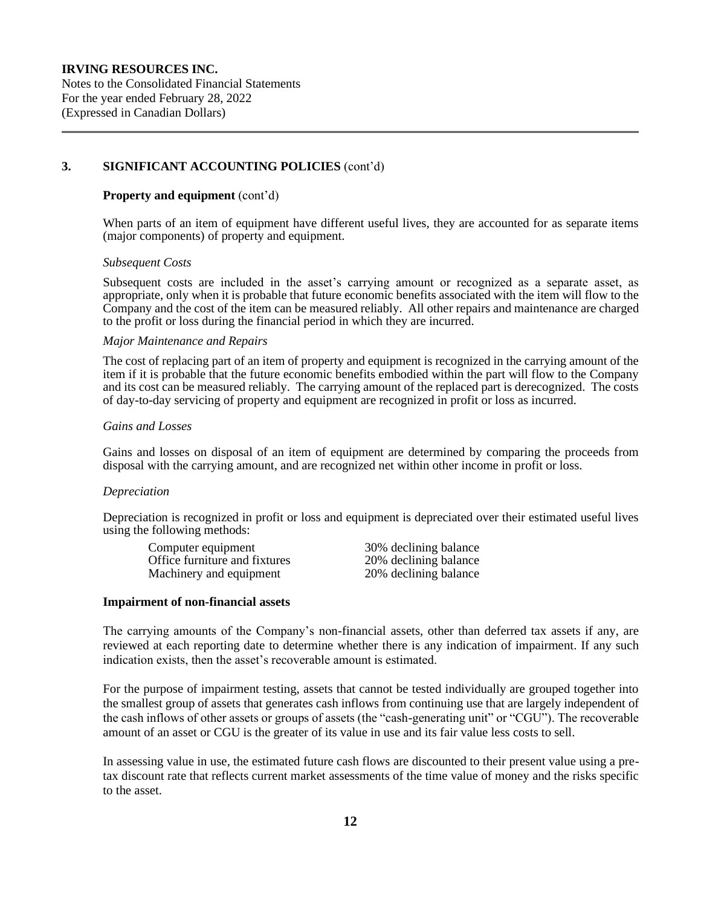Notes to the Consolidated Financial Statements For the year ended February 28, 2022 (Expressed in Canadian Dollars)

#### **3. SIGNIFICANT ACCOUNTING POLICIES** (cont'd)

#### **Property and equipment** (cont'd)

When parts of an item of equipment have different useful lives, they are accounted for as separate items (major components) of property and equipment.

#### *Subsequent Costs*

Subsequent costs are included in the asset's carrying amount or recognized as a separate asset, as appropriate, only when it is probable that future economic benefits associated with the item will flow to the Company and the cost of the item can be measured reliably. All other repairs and maintenance are charged to the profit or loss during the financial period in which they are incurred.

#### *Major Maintenance and Repairs*

The cost of replacing part of an item of property and equipment is recognized in the carrying amount of the item if it is probable that the future economic benefits embodied within the part will flow to the Company and its cost can be measured reliably. The carrying amount of the replaced part is derecognized. The costs of day-to-day servicing of property and equipment are recognized in profit or loss as incurred.

#### *Gains and Losses*

Gains and losses on disposal of an item of equipment are determined by comparing the proceeds from disposal with the carrying amount, and are recognized net within other income in profit or loss.

#### *Depreciation*

Depreciation is recognized in profit or loss and equipment is depreciated over their estimated useful lives using the following methods:

| Computer equipment            |  |
|-------------------------------|--|
| Office furniture and fixtures |  |
| Machinery and equipment       |  |

30% declining balance 20% declining balance 20% declining balance

#### **Impairment of non-financial assets**

The carrying amounts of the Company's non-financial assets, other than deferred tax assets if any, are reviewed at each reporting date to determine whether there is any indication of impairment. If any such indication exists, then the asset's recoverable amount is estimated.

For the purpose of impairment testing, assets that cannot be tested individually are grouped together into the smallest group of assets that generates cash inflows from continuing use that are largely independent of the cash inflows of other assets or groups of assets (the "cash-generating unit" or "CGU"). The recoverable amount of an asset or CGU is the greater of its value in use and its fair value less costs to sell.

In assessing value in use, the estimated future cash flows are discounted to their present value using a pretax discount rate that reflects current market assessments of the time value of money and the risks specific to the asset.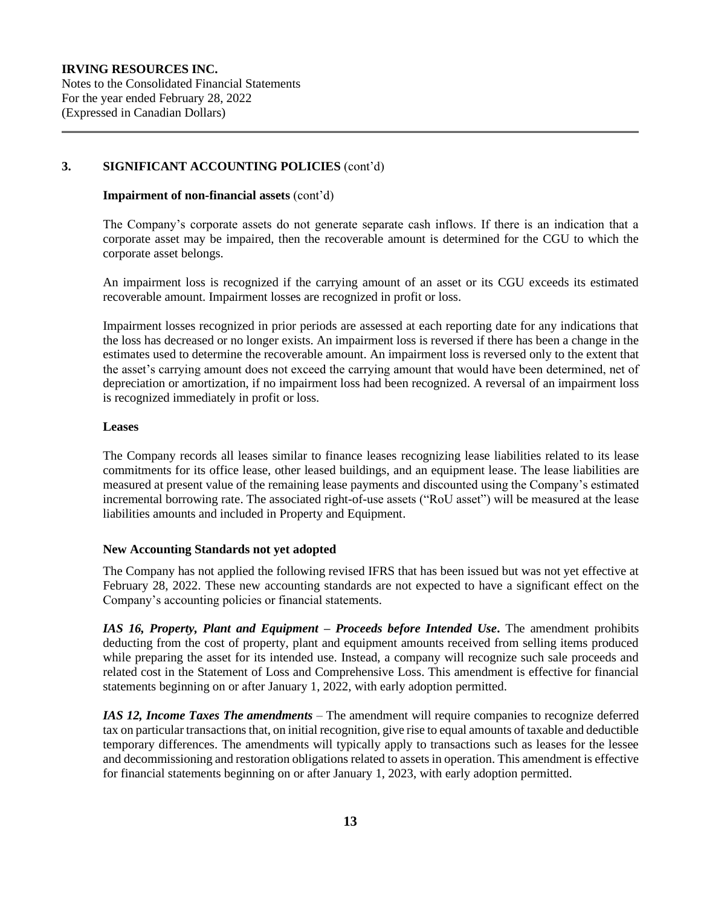Notes to the Consolidated Financial Statements For the year ended February 28, 2022 (Expressed in Canadian Dollars)

#### **3. SIGNIFICANT ACCOUNTING POLICIES** (cont'd)

#### **Impairment of non-financial assets** (cont'd)

The Company's corporate assets do not generate separate cash inflows. If there is an indication that a corporate asset may be impaired, then the recoverable amount is determined for the CGU to which the corporate asset belongs.

An impairment loss is recognized if the carrying amount of an asset or its CGU exceeds its estimated recoverable amount. Impairment losses are recognized in profit or loss.

Impairment losses recognized in prior periods are assessed at each reporting date for any indications that the loss has decreased or no longer exists. An impairment loss is reversed if there has been a change in the estimates used to determine the recoverable amount. An impairment loss is reversed only to the extent that the asset's carrying amount does not exceed the carrying amount that would have been determined, net of depreciation or amortization, if no impairment loss had been recognized. A reversal of an impairment loss is recognized immediately in profit or loss.

#### **Leases**

The Company records all leases similar to finance leases recognizing lease liabilities related to its lease commitments for its office lease, other leased buildings, and an equipment lease. The lease liabilities are measured at present value of the remaining lease payments and discounted using the Company's estimated incremental borrowing rate. The associated right-of-use assets ("RoU asset") will be measured at the lease liabilities amounts and included in Property and Equipment.

#### **New Accounting Standards not yet adopted**

The Company has not applied the following revised IFRS that has been issued but was not yet effective at February 28, 2022. These new accounting standards are not expected to have a significant effect on the Company's accounting policies or financial statements.

*IAS 16, Property, Plant and Equipment – Proceeds before Intended Use***.** The amendment prohibits deducting from the cost of property, plant and equipment amounts received from selling items produced while preparing the asset for its intended use. Instead, a company will recognize such sale proceeds and related cost in the Statement of Loss and Comprehensive Loss. This amendment is effective for financial statements beginning on or after January 1, 2022, with early adoption permitted.

*IAS 12, Income Taxes The amendments* – The amendment will require companies to recognize deferred tax on particular transactions that, on initial recognition, give rise to equal amounts of taxable and deductible temporary differences. The amendments will typically apply to transactions such as leases for the lessee and decommissioning and restoration obligations related to assets in operation. This amendment is effective for financial statements beginning on or after January 1, 2023, with early adoption permitted.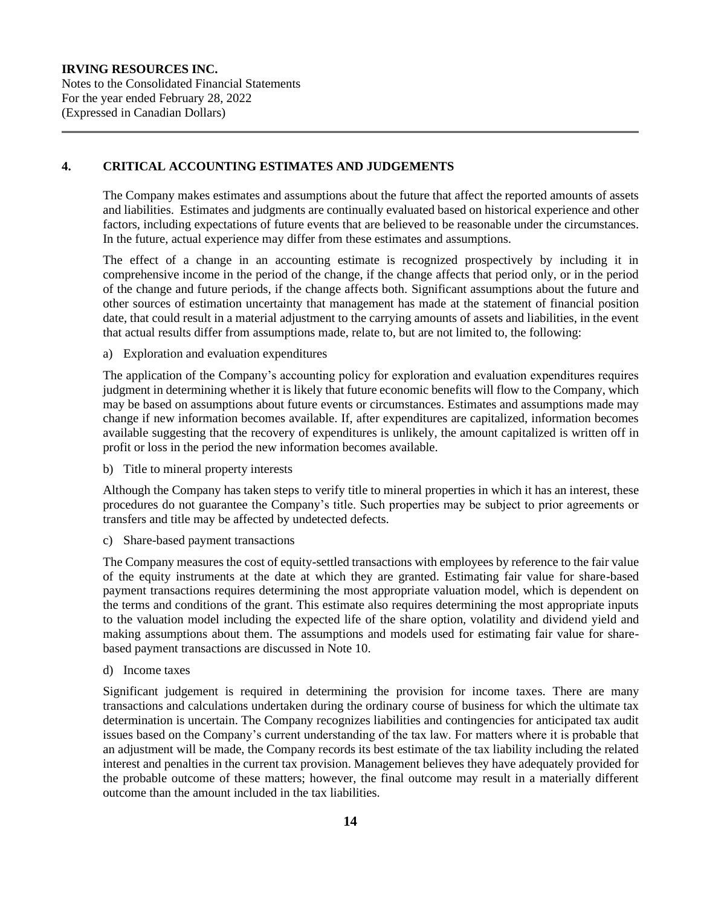Notes to the Consolidated Financial Statements For the year ended February 28, 2022 (Expressed in Canadian Dollars)

#### **4. CRITICAL ACCOUNTING ESTIMATES AND JUDGEMENTS**

The Company makes estimates and assumptions about the future that affect the reported amounts of assets and liabilities. Estimates and judgments are continually evaluated based on historical experience and other factors, including expectations of future events that are believed to be reasonable under the circumstances. In the future, actual experience may differ from these estimates and assumptions.

The effect of a change in an accounting estimate is recognized prospectively by including it in comprehensive income in the period of the change, if the change affects that period only, or in the period of the change and future periods, if the change affects both. Significant assumptions about the future and other sources of estimation uncertainty that management has made at the statement of financial position date, that could result in a material adjustment to the carrying amounts of assets and liabilities, in the event that actual results differ from assumptions made, relate to, but are not limited to, the following:

a) Exploration and evaluation expenditures

The application of the Company's accounting policy for exploration and evaluation expenditures requires judgment in determining whether it is likely that future economic benefits will flow to the Company, which may be based on assumptions about future events or circumstances. Estimates and assumptions made may change if new information becomes available. If, after expenditures are capitalized, information becomes available suggesting that the recovery of expenditures is unlikely, the amount capitalized is written off in profit or loss in the period the new information becomes available.

b) Title to mineral property interests

Although the Company has taken steps to verify title to mineral properties in which it has an interest, these procedures do not guarantee the Company's title. Such properties may be subject to prior agreements or transfers and title may be affected by undetected defects.

c) Share-based payment transactions

The Company measures the cost of equity-settled transactions with employees by reference to the fair value of the equity instruments at the date at which they are granted. Estimating fair value for share-based payment transactions requires determining the most appropriate valuation model, which is dependent on the terms and conditions of the grant. This estimate also requires determining the most appropriate inputs to the valuation model including the expected life of the share option, volatility and dividend yield and making assumptions about them. The assumptions and models used for estimating fair value for sharebased payment transactions are discussed in Note 10.

d) Income taxes

Significant judgement is required in determining the provision for income taxes. There are many transactions and calculations undertaken during the ordinary course of business for which the ultimate tax determination is uncertain. The Company recognizes liabilities and contingencies for anticipated tax audit issues based on the Company's current understanding of the tax law. For matters where it is probable that an adjustment will be made, the Company records its best estimate of the tax liability including the related interest and penalties in the current tax provision. Management believes they have adequately provided for the probable outcome of these matters; however, the final outcome may result in a materially different outcome than the amount included in the tax liabilities.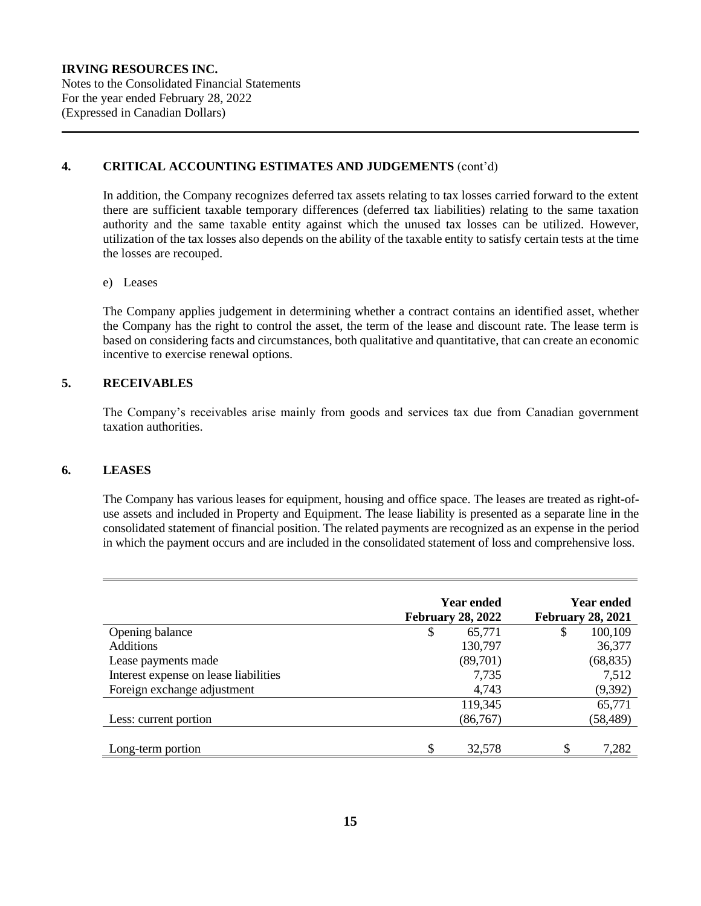Notes to the Consolidated Financial Statements For the year ended February 28, 2022 (Expressed in Canadian Dollars)

# **4. CRITICAL ACCOUNTING ESTIMATES AND JUDGEMENTS** (cont'd)

In addition, the Company recognizes deferred tax assets relating to tax losses carried forward to the extent there are sufficient taxable temporary differences (deferred tax liabilities) relating to the same taxation authority and the same taxable entity against which the unused tax losses can be utilized. However, utilization of the tax losses also depends on the ability of the taxable entity to satisfy certain tests at the time the losses are recouped.

#### e) Leases

The Company applies judgement in determining whether a contract contains an identified asset, whether the Company has the right to control the asset, the term of the lease and discount rate. The lease term is based on considering facts and circumstances, both qualitative and quantitative, that can create an economic incentive to exercise renewal options.

#### **5. RECEIVABLES**

The Company's receivables arise mainly from goods and services tax due from Canadian government taxation authorities.

#### **6. LEASES**

The Company has various leases for equipment, housing and office space. The leases are treated as right-ofuse assets and included in Property and Equipment. The lease liability is presented as a separate line in the consolidated statement of financial position. The related payments are recognized as an expense in the period in which the payment occurs and are included in the consolidated statement of loss and comprehensive loss.

|                                       | <b>Year ended</b><br><b>February 28, 2022</b> | <b>Year ended</b><br><b>February 28, 2021</b> |  |  |
|---------------------------------------|-----------------------------------------------|-----------------------------------------------|--|--|
| Opening balance                       | \$.<br>65,771                                 | \$<br>100,109                                 |  |  |
| <b>Additions</b>                      | 130,797                                       | 36,377                                        |  |  |
| Lease payments made                   | (89,701)                                      | (68, 835)                                     |  |  |
| Interest expense on lease liabilities | 7,735                                         | 7,512                                         |  |  |
| Foreign exchange adjustment           | 4,743                                         | (9,392)                                       |  |  |
|                                       | 119,345                                       | 65,771                                        |  |  |
| Less: current portion                 | (86, 767)                                     | (58, 489)                                     |  |  |
|                                       |                                               |                                               |  |  |
| Long-term portion                     | \$<br>32,578                                  | \$<br>7,282                                   |  |  |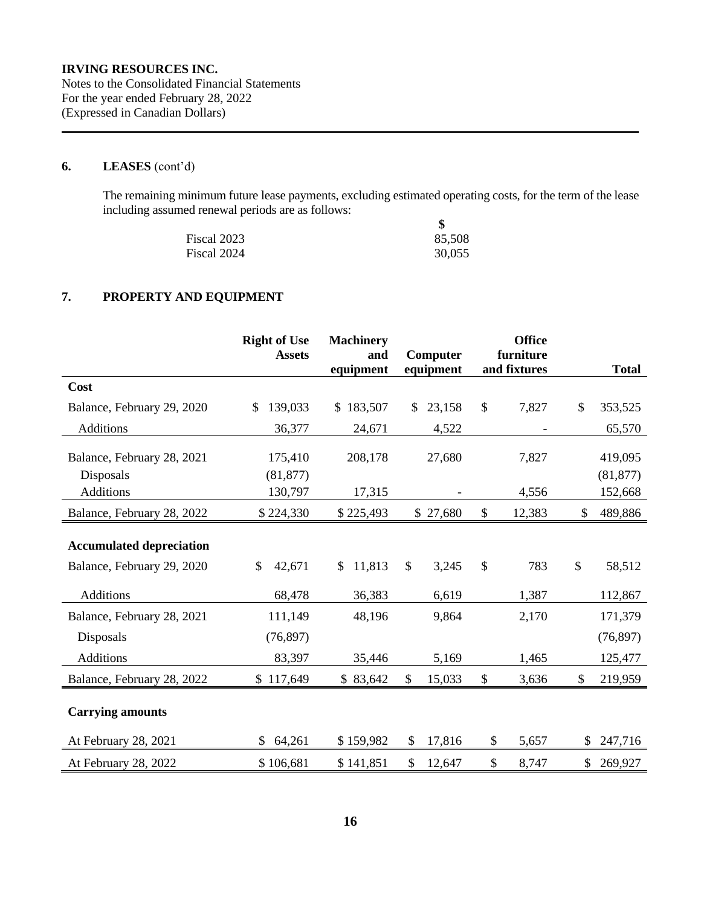Notes to the Consolidated Financial Statements For the year ended February 28, 2022 (Expressed in Canadian Dollars)

# **6. LEASES** (cont'd)

The remaining minimum future lease payments, excluding estimated operating costs, for the term of the lease including assumed renewal periods are as follows: **\$**

| Fiscal 2023 | 85,508 |
|-------------|--------|
| Fiscal 2024 | 30,055 |

# **7. PROPERTY AND EQUIPMENT**

|                                                               | <b>Right of Use</b><br><b>Assets</b> | <b>Machinery</b><br>and<br>equipment | Computer<br>equipment  |               | <b>Office</b><br>furniture<br>and fixtures |               | <b>Total</b>                    |
|---------------------------------------------------------------|--------------------------------------|--------------------------------------|------------------------|---------------|--------------------------------------------|---------------|---------------------------------|
| Cost                                                          |                                      |                                      |                        |               |                                            |               |                                 |
| Balance, February 29, 2020                                    | 139,033<br>\$                        | 183,507<br>$\mathbb{S}$              | 23,158<br>$\mathbb{S}$ | \$            | 7,827                                      | \$            | 353,525                         |
| <b>Additions</b>                                              | 36,377                               | 24,671                               | 4,522                  |               |                                            |               | 65,570                          |
| Balance, February 28, 2021<br>Disposals                       | 175,410<br>(81, 877)                 | 208,178                              | 27,680                 |               | 7,827                                      |               | 419,095<br>(81, 877)            |
| Additions                                                     | 130,797                              | 17,315                               |                        |               | 4,556                                      |               | 152,668                         |
| Balance, February 28, 2022                                    | \$224,330                            | \$225,493                            | \$ 27,680              | $\mathcal{S}$ | 12,383                                     | \$            | 489,886                         |
| <b>Accumulated depreciation</b><br>Balance, February 29, 2020 | \$<br>42,671                         | \$<br>11,813                         | $\mathcal{S}$<br>3,245 | $\$\$         | 783                                        | $\mathcal{S}$ | 58,512                          |
| <b>Additions</b>                                              | 68,478                               | 36,383                               | 6,619                  |               | 1,387                                      |               | 112,867                         |
| Balance, February 28, 2021<br>Disposals<br><b>Additions</b>   | 111,149<br>(76, 897)<br>83,397       | 48,196<br>35,446                     | 9,864<br>5,169         |               | 2,170<br>1,465                             |               | 171,379<br>(76, 897)<br>125,477 |
| Balance, February 28, 2022                                    | \$117,649                            | \$83,642                             | 15,033<br>\$           | \$            | 3,636                                      | \$            | 219,959                         |
| <b>Carrying amounts</b>                                       |                                      |                                      |                        |               |                                            |               |                                 |
| At February 28, 2021                                          | 64,261<br>\$                         | \$159,982                            | \$<br>17,816           | \$            | 5,657                                      | \$            | 247,716                         |
| At February 28, 2022                                          | \$106,681                            | \$141,851                            | \$<br>12,647           | \$            | 8,747                                      | \$            | 269,927                         |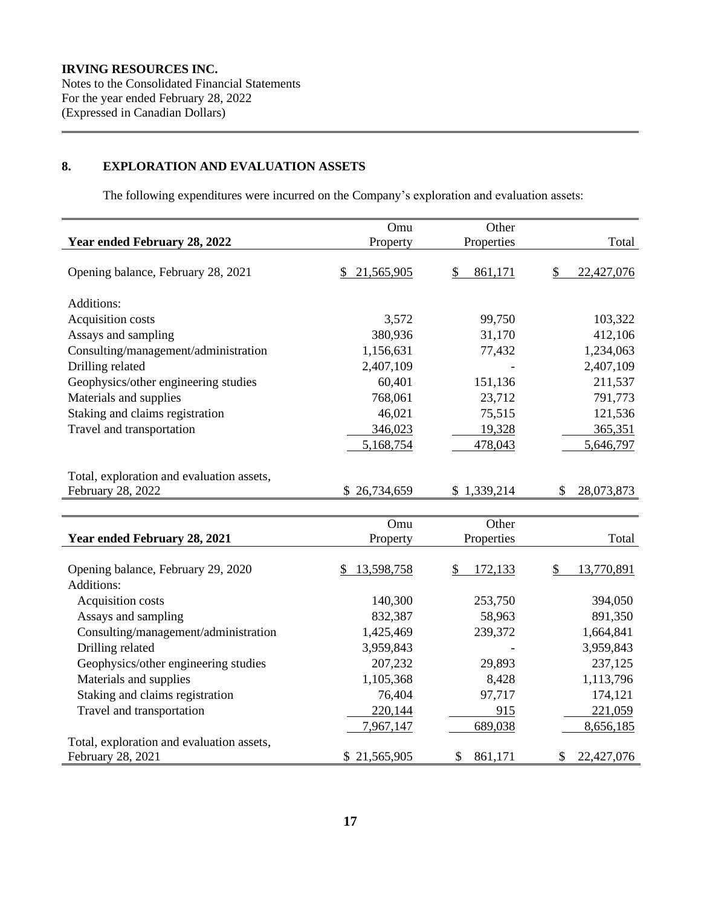Notes to the Consolidated Financial Statements For the year ended February 28, 2022 (Expressed in Canadian Dollars)

# **8. EXPLORATION AND EVALUATION ASSETS**

The following expenditures were incurred on the Company's exploration and evaluation assets:

|                                           | Omu              | Other         |                  |
|-------------------------------------------|------------------|---------------|------------------|
| Year ended February 28, 2022              | Property         | Properties    | Total            |
| Opening balance, February 28, 2021        | \$21,565,905     | \$<br>861,171 | \$<br>22,427,076 |
|                                           |                  |               |                  |
| Additions:                                |                  |               |                  |
| Acquisition costs                         | 3,572            | 99,750        | 103,322          |
| Assays and sampling                       | 380,936          | 31,170        | 412,106          |
| Consulting/management/administration      | 1,156,631        | 77,432        | 1,234,063        |
| Drilling related                          | 2,407,109        |               | 2,407,109        |
| Geophysics/other engineering studies      | 60,401           | 151,136       | 211,537          |
| Materials and supplies                    | 768,061          | 23,712        | 791,773          |
| Staking and claims registration           | 46,021           | 75,515        | 121,536          |
| Travel and transportation                 | 346,023          | 19,328        | 365,351          |
|                                           | 5,168,754        | 478,043       | 5,646,797        |
|                                           |                  |               |                  |
| Total, exploration and evaluation assets, |                  |               |                  |
| February 28, 2022                         | \$26,734,659     | \$1,339,214   | \$<br>28,073,873 |
|                                           |                  |               |                  |
|                                           | Omu              | Other         |                  |
| Year ended February 28, 2021              | Property         | Properties    | Total            |
|                                           |                  |               |                  |
| Opening balance, February 29, 2020        | 13,598,758<br>\$ | 172,133<br>\$ | \$<br>13,770,891 |
| Additions:                                |                  |               |                  |
| Acquisition costs                         | 140,300          | 253,750       | 394,050          |
| Assays and sampling                       | 832,387          | 58,963        | 891,350          |
| Consulting/management/administration      | 1,425,469        | 239,372       | 1,664,841        |
| Drilling related                          | 3,959,843        |               | 3,959,843        |
| Geophysics/other engineering studies      | 207,232          | 29,893        | 237,125          |
| Materials and supplies                    | 1,105,368        | 8,428         | 1,113,796        |
| Staking and claims registration           | 76,404           | 97,717        | 174,121          |
| Travel and transportation                 | 220,144          | 915           | 221,059          |
|                                           | 7,967,147        | 689,038       | 8,656,185        |
| Total, exploration and evaluation assets, |                  |               |                  |
| February 28, 2021                         | \$21,565,905     | \$<br>861,171 | \$<br>22,427,076 |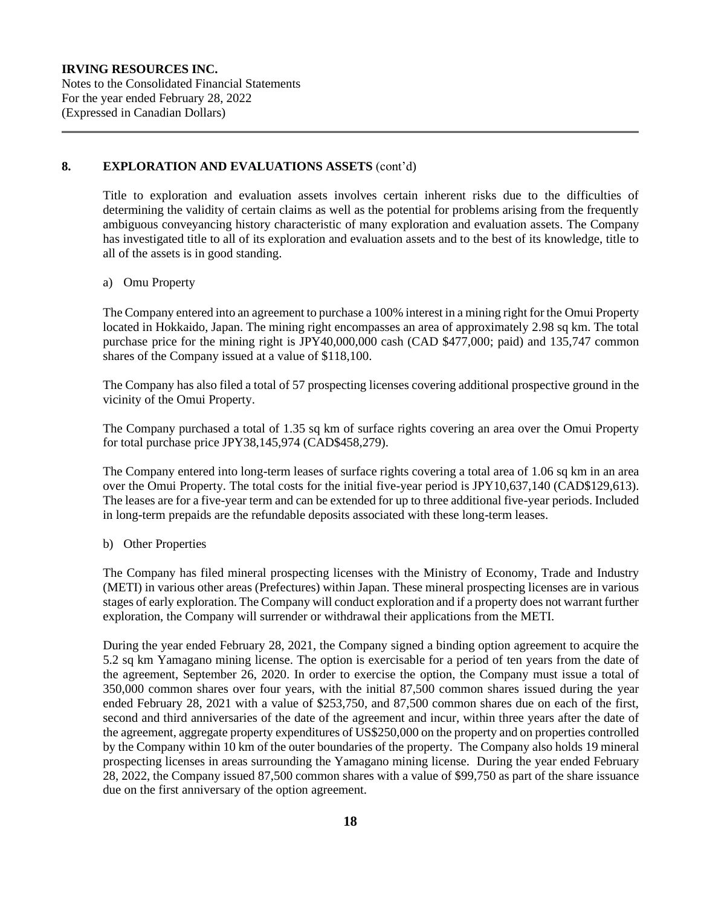Notes to the Consolidated Financial Statements For the year ended February 28, 2022 (Expressed in Canadian Dollars)

#### **8. EXPLORATION AND EVALUATIONS ASSETS** (cont'd)

Title to exploration and evaluation assets involves certain inherent risks due to the difficulties of determining the validity of certain claims as well as the potential for problems arising from the frequently ambiguous conveyancing history characteristic of many exploration and evaluation assets. The Company has investigated title to all of its exploration and evaluation assets and to the best of its knowledge, title to all of the assets is in good standing.

a) Omu Property

The Company entered into an agreement to purchase a 100% interest in a mining right for the Omui Property located in Hokkaido, Japan. The mining right encompasses an area of approximately 2.98 sq km. The total purchase price for the mining right is JPY40,000,000 cash (CAD \$477,000; paid) and 135,747 common shares of the Company issued at a value of \$118,100.

The Company has also filed a total of 57 prospecting licenses covering additional prospective ground in the vicinity of the Omui Property.

The Company purchased a total of 1.35 sq km of surface rights covering an area over the Omui Property for total purchase price JPY38,145,974 (CAD\$458,279).

The Company entered into long-term leases of surface rights covering a total area of 1.06 sq km in an area over the Omui Property. The total costs for the initial five-year period is JPY10,637,140 (CAD\$129,613). The leases are for a five-year term and can be extended for up to three additional five-year periods. Included in long-term prepaids are the refundable deposits associated with these long-term leases.

#### b) Other Properties

The Company has filed mineral prospecting licenses with the Ministry of Economy, Trade and Industry (METI) in various other areas (Prefectures) within Japan. These mineral prospecting licenses are in various stages of early exploration. The Company will conduct exploration and if a property does not warrant further exploration, the Company will surrender or withdrawal their applications from the METI.

During the year ended February 28, 2021, the Company signed a binding option agreement to acquire the 5.2 sq km Yamagano mining license. The option is exercisable for a period of ten years from the date of the agreement, September 26, 2020. In order to exercise the option, the Company must issue a total of 350,000 common shares over four years, with the initial 87,500 common shares issued during the year ended February 28, 2021 with a value of \$253,750, and 87,500 common shares due on each of the first, second and third anniversaries of the date of the agreement and incur, within three years after the date of the agreement, aggregate property expenditures of US\$250,000 on the property and on properties controlled by the Company within 10 km of the outer boundaries of the property. The Company also holds 19 mineral prospecting licenses in areas surrounding the Yamagano mining license. During the year ended February 28, 2022, the Company issued 87,500 common shares with a value of \$99,750 as part of the share issuance due on the first anniversary of the option agreement.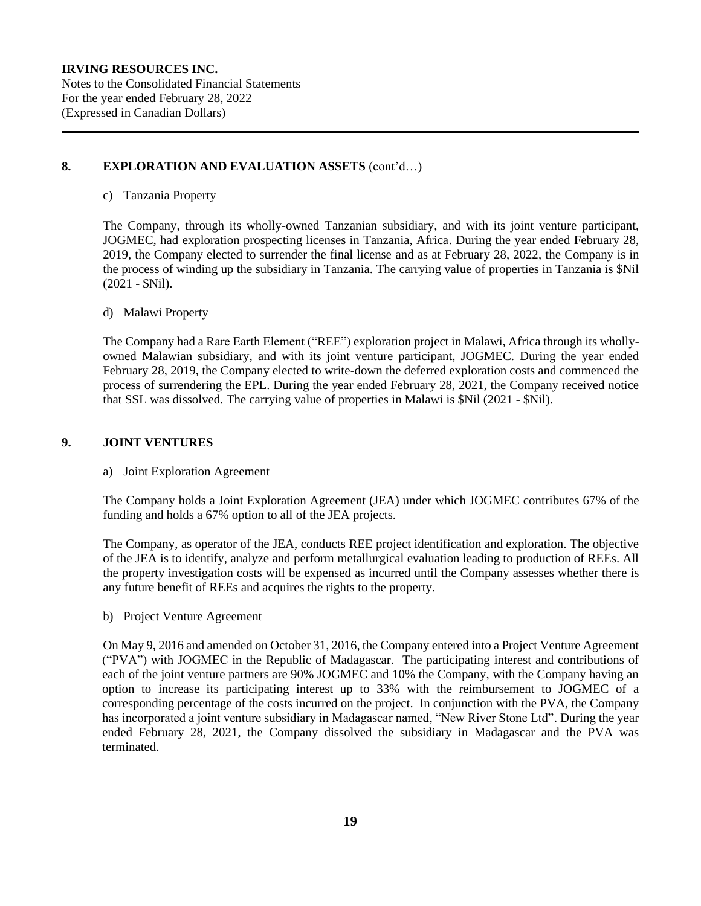Notes to the Consolidated Financial Statements For the year ended February 28, 2022 (Expressed in Canadian Dollars)

#### **8. EXPLORATION AND EVALUATION ASSETS** (cont'd…)

c) Tanzania Property

The Company, through its wholly-owned Tanzanian subsidiary, and with its joint venture participant, JOGMEC, had exploration prospecting licenses in Tanzania, Africa. During the year ended February 28, 2019, the Company elected to surrender the final license and as at February 28, 2022, the Company is in the process of winding up the subsidiary in Tanzania. The carrying value of properties in Tanzania is \$Nil (2021 - \$Nil).

#### d) Malawi Property

The Company had a Rare Earth Element ("REE") exploration project in Malawi, Africa through its whollyowned Malawian subsidiary, and with its joint venture participant, JOGMEC. During the year ended February 28, 2019, the Company elected to write-down the deferred exploration costs and commenced the process of surrendering the EPL. During the year ended February 28, 2021, the Company received notice that SSL was dissolved. The carrying value of properties in Malawi is \$Nil (2021 - \$Nil).

#### **9. JOINT VENTURES**

#### a) Joint Exploration Agreement

The Company holds a Joint Exploration Agreement (JEA) under which JOGMEC contributes 67% of the funding and holds a 67% option to all of the JEA projects.

The Company, as operator of the JEA, conducts REE project identification and exploration. The objective of the JEA is to identify, analyze and perform metallurgical evaluation leading to production of REEs. All the property investigation costs will be expensed as incurred until the Company assesses whether there is any future benefit of REEs and acquires the rights to the property.

b) Project Venture Agreement

On May 9, 2016 and amended on October 31, 2016, the Company entered into a Project Venture Agreement ("PVA") with JOGMEC in the Republic of Madagascar. The participating interest and contributions of each of the joint venture partners are 90% JOGMEC and 10% the Company, with the Company having an option to increase its participating interest up to 33% with the reimbursement to JOGMEC of a corresponding percentage of the costs incurred on the project. In conjunction with the PVA, the Company has incorporated a joint venture subsidiary in Madagascar named, "New River Stone Ltd". During the year ended February 28, 2021, the Company dissolved the subsidiary in Madagascar and the PVA was terminated.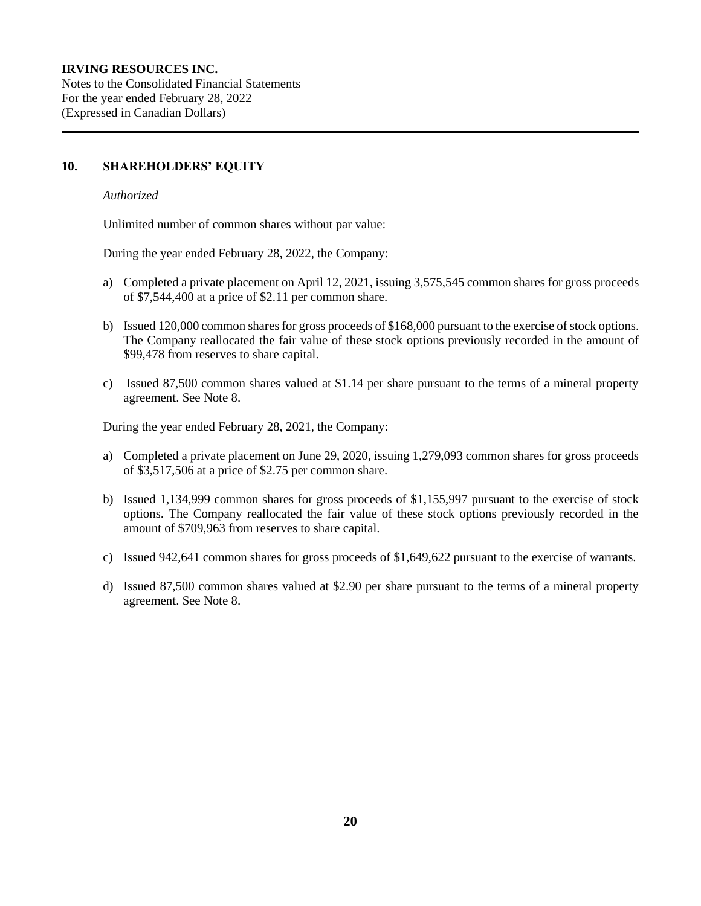Notes to the Consolidated Financial Statements For the year ended February 28, 2022 (Expressed in Canadian Dollars)

#### **10. SHAREHOLDERS' EQUITY**

#### *Authorized*

Unlimited number of common shares without par value:

During the year ended February 28, 2022, the Company:

- a) Completed a private placement on April 12, 2021, issuing 3,575,545 common shares for gross proceeds of \$7,544,400 at a price of \$2.11 per common share.
- b) Issued 120,000 common shares for gross proceeds of \$168,000 pursuant to the exercise of stock options. The Company reallocated the fair value of these stock options previously recorded in the amount of \$99,478 from reserves to share capital.
- c) Issued 87,500 common shares valued at \$1.14 per share pursuant to the terms of a mineral property agreement. See Note 8.

During the year ended February 28, 2021, the Company:

- a) Completed a private placement on June 29, 2020, issuing 1,279,093 common shares for gross proceeds of \$3,517,506 at a price of \$2.75 per common share.
- b) Issued 1,134,999 common shares for gross proceeds of \$1,155,997 pursuant to the exercise of stock options. The Company reallocated the fair value of these stock options previously recorded in the amount of \$709,963 from reserves to share capital.
- c) Issued 942,641 common shares for gross proceeds of \$1,649,622 pursuant to the exercise of warrants.
- d) Issued 87,500 common shares valued at \$2.90 per share pursuant to the terms of a mineral property agreement. See Note 8.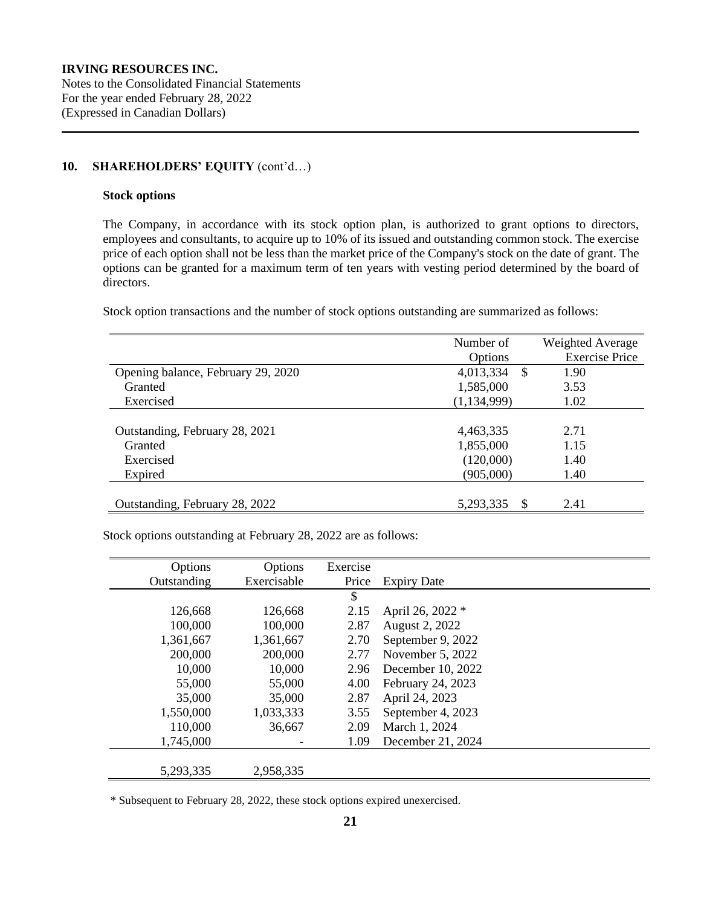Notes to the Consolidated Financial Statements For the year ended February 28, 2022 (Expressed in Canadian Dollars)

#### **10. SHAREHOLDERS' EQUITY** (cont'd…)

#### **Stock options**

The Company, in accordance with its stock option plan, is authorized to grant options to directors, employees and consultants, to acquire up to 10% of its issued and outstanding common stock. The exercise price of each option shall not be less than the market price of the Company's stock on the date of grant. The options can be granted for a maximum term of ten years with vesting period determined by the board of directors.

Stock option transactions and the number of stock options outstanding are summarized as follows:

|                                    | Number of        | Weighted Average      |
|------------------------------------|------------------|-----------------------|
|                                    | Options          | <b>Exercise Price</b> |
| Opening balance, February 29, 2020 | 4,013,334<br>-\$ | 1.90                  |
| Granted                            | 1,585,000        | 3.53                  |
| Exercised                          | (1, 134, 999)    | 1.02                  |
|                                    |                  |                       |
| Outstanding, February 28, 2021     | 4,463,335        | 2.71                  |
| Granted                            | 1,855,000        | 1.15                  |
| Exercised                          | (120,000)        | 1.40                  |
| Expired                            | (905,000)        | 1.40                  |
|                                    |                  |                       |
| Outstanding, February 28, 2022     | 5,293,335<br>\$  | 2.41                  |

Stock options outstanding at February 28, 2022 are as follows:

| Options     | Options     | Exercise      |                    |
|-------------|-------------|---------------|--------------------|
| Outstanding | Exercisable | Price         | <b>Expiry Date</b> |
|             |             | $\mathcal{S}$ |                    |
| 126,668     | 126,668     | 2.15          | April 26, 2022 *   |
| 100,000     | 100,000     | 2.87          | August 2, 2022     |
| 1,361,667   | 1,361,667   | 2.70          | September 9, 2022  |
| 200,000     | 200,000     | 2.77          | November 5, 2022   |
| 10,000      | 10,000      | 2.96          | December 10, 2022  |
| 55,000      | 55,000      | 4.00          | February 24, 2023  |
| 35,000      | 35,000      | 2.87          | April 24, 2023     |
| 1,550,000   | 1,033,333   | 3.55          | September 4, 2023  |
| 110,000     | 36,667      | 2.09          | March 1, 2024      |
| 1,745,000   |             | 1.09          | December 21, 2024  |
|             |             |               |                    |
| 5,293,335   | 2,958,335   |               |                    |

\* Subsequent to February 28, 2022, these stock options expired unexercised.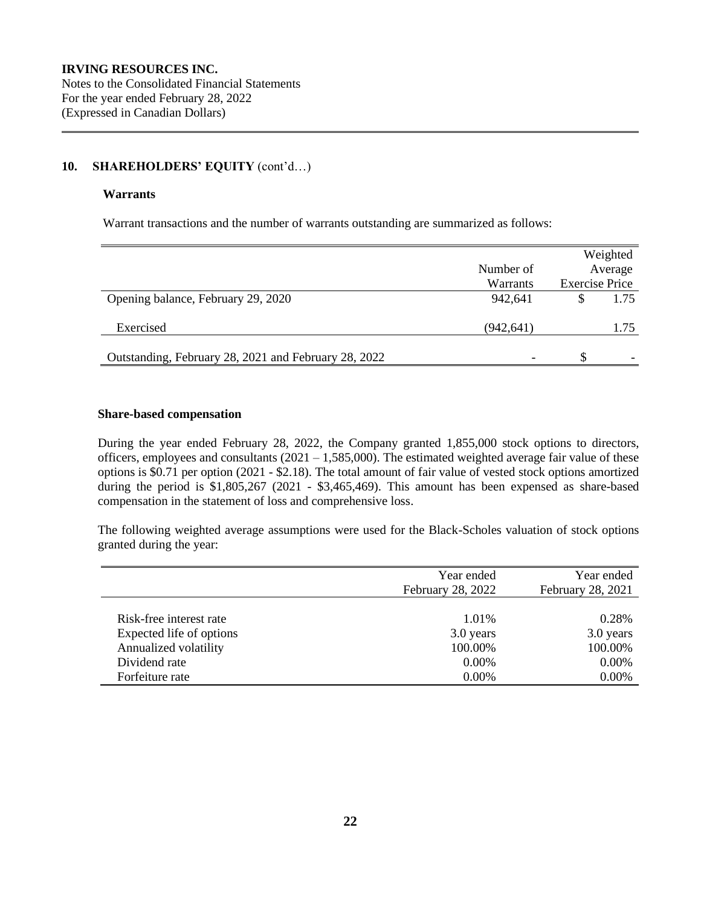Notes to the Consolidated Financial Statements For the year ended February 28, 2022 (Expressed in Canadian Dollars)

#### **10. SHAREHOLDERS' EQUITY** (cont'd…)

#### **Warrants**

Warrant transactions and the number of warrants outstanding are summarized as follows:

|                                                      |            |                       | Weighted |
|------------------------------------------------------|------------|-----------------------|----------|
|                                                      | Number of  |                       | Average  |
|                                                      | Warrants   | <b>Exercise Price</b> |          |
| Opening balance, February 29, 2020                   | 942,641    |                       | 1.75     |
| Exercised                                            | (942, 641) |                       | 1.75     |
| Outstanding, February 28, 2021 and February 28, 2022 |            |                       |          |

#### **Share-based compensation**

During the year ended February 28, 2022, the Company granted 1,855,000 stock options to directors, officers, employees and consultants  $(2021 - 1,585,000)$ . The estimated weighted average fair value of these options is \$0.71 per option (2021 - \$2.18). The total amount of fair value of vested stock options amortized during the period is \$1,805,267 (2021 - \$3,465,469). This amount has been expensed as share-based compensation in the statement of loss and comprehensive loss.

The following weighted average assumptions were used for the Black-Scholes valuation of stock options granted during the year:

|                          | Year ended<br>February 28, 2022 | Year ended<br>February 28, 2021 |
|--------------------------|---------------------------------|---------------------------------|
| Risk-free interest rate  | 1.01%                           | 0.28%                           |
| Expected life of options | 3.0 years                       | 3.0 years                       |
| Annualized volatility    | 100.00%                         | 100.00%                         |
| Dividend rate            | $0.00\%$                        | $0.00\%$                        |
| Forfeiture rate          | 0.00%                           | 0.00%                           |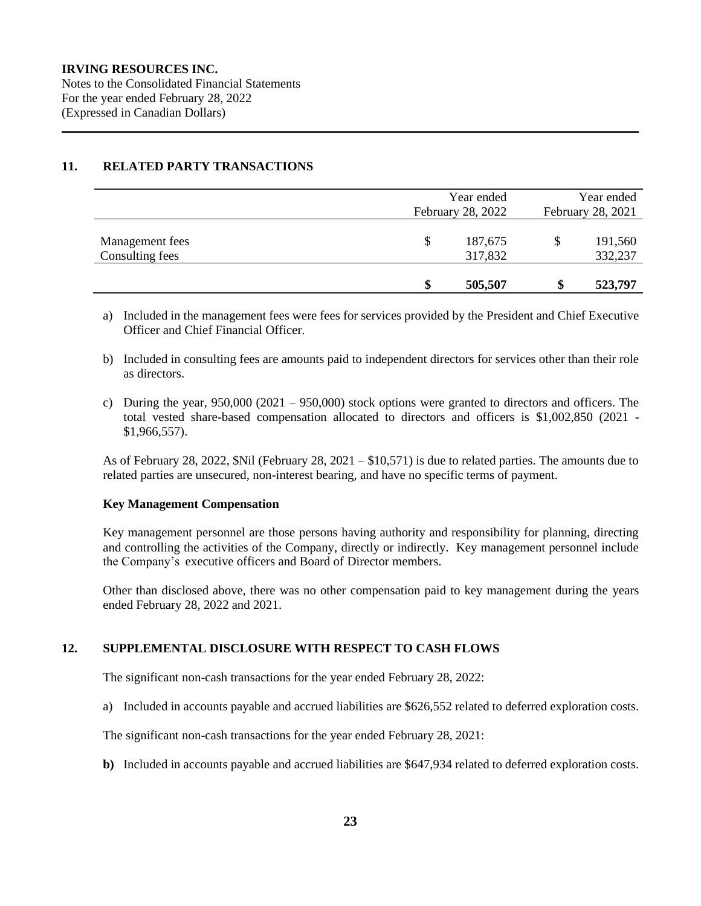Notes to the Consolidated Financial Statements For the year ended February 28, 2022 (Expressed in Canadian Dollars)

#### **11. RELATED PARTY TRANSACTIONS**

|                                    | Year ended               | Year ended        |                    |  |
|------------------------------------|--------------------------|-------------------|--------------------|--|
|                                    | February 28, 2022        | February 28, 2021 |                    |  |
| Management fees<br>Consulting fees | \$<br>187,675<br>317,832 | \$                | 191,560<br>332,237 |  |
|                                    | \$<br>505,507            | \$                | 523,797            |  |

a) Included in the management fees were fees for services provided by the President and Chief Executive Officer and Chief Financial Officer.

b) Included in consulting fees are amounts paid to independent directors for services other than their role as directors.

c) During the year, 950,000 (2021 – 950,000) stock options were granted to directors and officers. The total vested share-based compensation allocated to directors and officers is \$1,002,850 (2021 - \$1,966,557).

As of February 28, 2022, \$Nil (February 28, 2021 – \$10,571) is due to related parties. The amounts due to related parties are unsecured, non-interest bearing, and have no specific terms of payment.

#### **Key Management Compensation**

Key management personnel are those persons having authority and responsibility for planning, directing and controlling the activities of the Company, directly or indirectly. Key management personnel include the Company's executive officers and Board of Director members.

Other than disclosed above, there was no other compensation paid to key management during the years ended February 28, 2022 and 2021.

#### **12. SUPPLEMENTAL DISCLOSURE WITH RESPECT TO CASH FLOWS**

The significant non-cash transactions for the year ended February 28, 2022:

a) Included in accounts payable and accrued liabilities are \$626,552 related to deferred exploration costs.

The significant non-cash transactions for the year ended February 28, 2021:

**b)** Included in accounts payable and accrued liabilities are \$647,934 related to deferred exploration costs.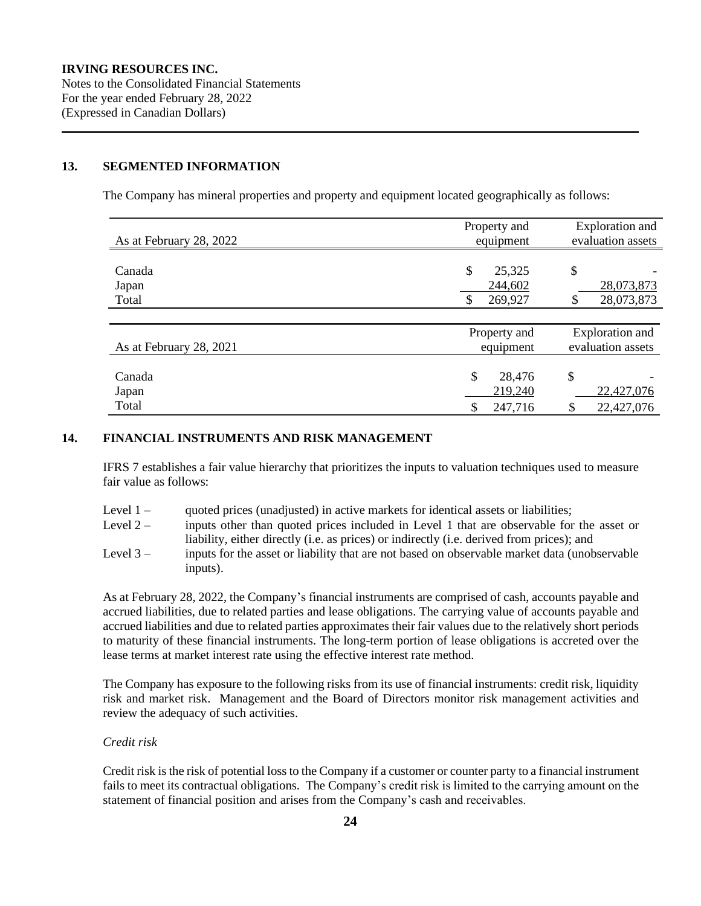Notes to the Consolidated Financial Statements For the year ended February 28, 2022 (Expressed in Canadian Dollars)

#### **13. SEGMENTED INFORMATION**

The Company has mineral properties and property and equipment located geographically as follows:

|                         | Property and  | Exploration and   |  |  |
|-------------------------|---------------|-------------------|--|--|
| As at February 28, 2022 | equipment     | evaluation assets |  |  |
|                         |               |                   |  |  |
| Canada                  | \$<br>25,325  | \$                |  |  |
| Japan                   | 244,602       | 28,073,873        |  |  |
| Total                   | 269,927<br>\$ | 28,073,873        |  |  |
|                         |               |                   |  |  |
|                         | Property and  | Exploration and   |  |  |
| As at February 28, 2021 | equipment     | evaluation assets |  |  |
|                         |               |                   |  |  |
| Canada                  | \$<br>28,476  | \$                |  |  |
| Japan                   | 219,240       | 22,427,076        |  |  |
| Total                   | 247,716       | 22,427,076        |  |  |

#### **14. FINANCIAL INSTRUMENTS AND RISK MANAGEMENT**

IFRS 7 establishes a fair value hierarchy that prioritizes the inputs to valuation techniques used to measure fair value as follows:

Level 1 – quoted prices (unadjusted) in active markets for identical assets or liabilities;

Level 2 – inputs other than quoted prices included in Level 1 that are observable for the asset or liability, either directly (i.e. as prices) or indirectly (i.e. derived from prices); and

Level 3 – inputs for the asset or liability that are not based on observable market data (unobservable inputs).

As at February 28, 2022, the Company's financial instruments are comprised of cash, accounts payable and accrued liabilities, due to related parties and lease obligations. The carrying value of accounts payable and accrued liabilities and due to related parties approximates their fair values due to the relatively short periods to maturity of these financial instruments. The long-term portion of lease obligations is accreted over the lease terms at market interest rate using the effective interest rate method.

The Company has exposure to the following risks from its use of financial instruments: credit risk, liquidity risk and market risk. Management and the Board of Directors monitor risk management activities and review the adequacy of such activities.

#### *Credit risk*

Credit risk is the risk of potential loss to the Company if a customer or counter party to a financial instrument fails to meet its contractual obligations. The Company's credit risk is limited to the carrying amount on the statement of financial position and arises from the Company's cash and receivables.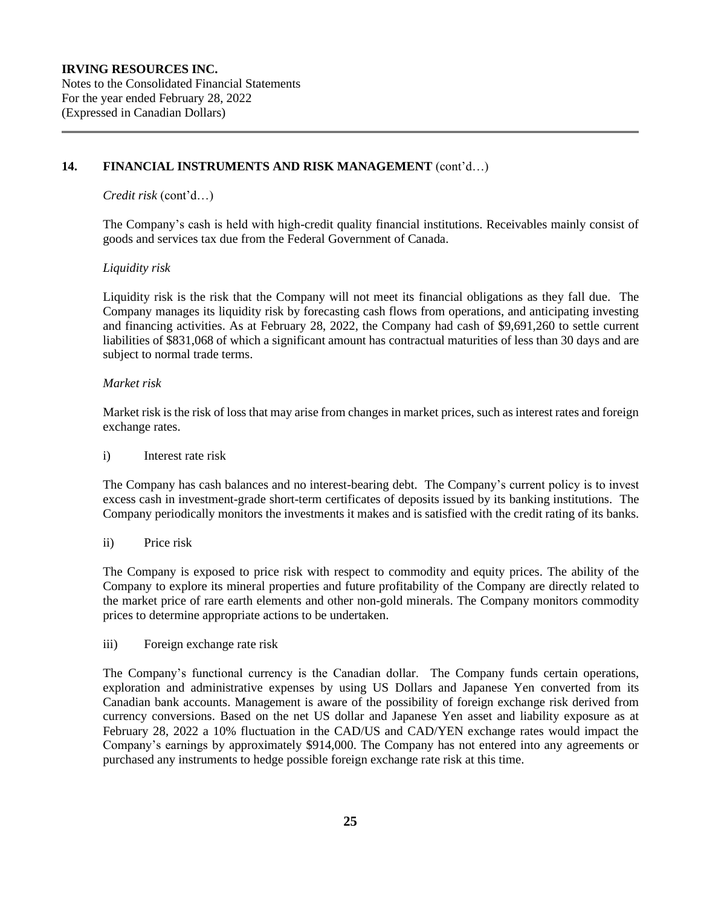# **14. FINANCIAL INSTRUMENTS AND RISK MANAGEMENT** (cont'd…)

#### *Credit risk* (cont'd…)

The Company's cash is held with high-credit quality financial institutions. Receivables mainly consist of goods and services tax due from the Federal Government of Canada.

#### *Liquidity risk*

Liquidity risk is the risk that the Company will not meet its financial obligations as they fall due. The Company manages its liquidity risk by forecasting cash flows from operations, and anticipating investing and financing activities. As at February 28, 2022, the Company had cash of \$9,691,260 to settle current liabilities of \$831,068 of which a significant amount has contractual maturities of less than 30 days and are subject to normal trade terms.

#### *Market risk*

Market risk is the risk of loss that may arise from changes in market prices, such as interest rates and foreign exchange rates.

#### i) Interest rate risk

The Company has cash balances and no interest-bearing debt. The Company's current policy is to invest excess cash in investment-grade short-term certificates of deposits issued by its banking institutions. The Company periodically monitors the investments it makes and is satisfied with the credit rating of its banks.

#### ii) Price risk

The Company is exposed to price risk with respect to commodity and equity prices. The ability of the Company to explore its mineral properties and future profitability of the Company are directly related to the market price of rare earth elements and other non-gold minerals. The Company monitors commodity prices to determine appropriate actions to be undertaken.

#### iii) Foreign exchange rate risk

The Company's functional currency is the Canadian dollar. The Company funds certain operations, exploration and administrative expenses by using US Dollars and Japanese Yen converted from its Canadian bank accounts. Management is aware of the possibility of foreign exchange risk derived from currency conversions. Based on the net US dollar and Japanese Yen asset and liability exposure as at February 28, 2022 a 10% fluctuation in the CAD/US and CAD/YEN exchange rates would impact the Company's earnings by approximately \$914,000. The Company has not entered into any agreements or purchased any instruments to hedge possible foreign exchange rate risk at this time.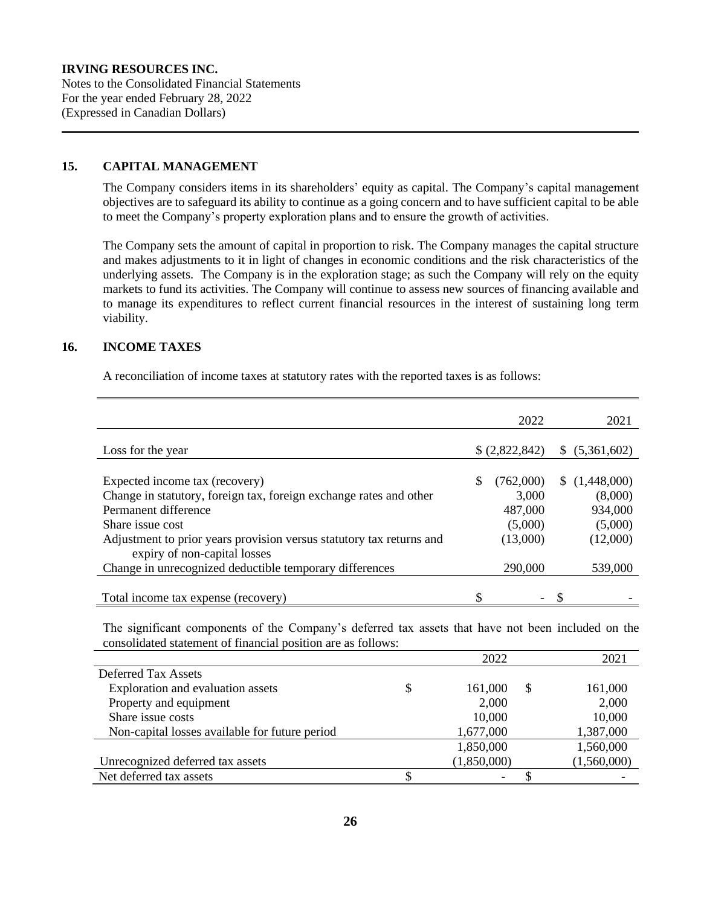Notes to the Consolidated Financial Statements For the year ended February 28, 2022 (Expressed in Canadian Dollars)

#### **15. CAPITAL MANAGEMENT**

The Company considers items in its shareholders' equity as capital. The Company's capital management objectives are to safeguard its ability to continue as a going concern and to have sufficient capital to be able to meet the Company's property exploration plans and to ensure the growth of activities.

The Company sets the amount of capital in proportion to risk. The Company manages the capital structure and makes adjustments to it in light of changes in economic conditions and the risk characteristics of the underlying assets. The Company is in the exploration stage; as such the Company will rely on the equity markets to fund its activities. The Company will continue to assess new sources of financing available and to manage its expenditures to reflect current financial resources in the interest of sustaining long term viability.

#### **16. INCOME TAXES**

A reconciliation of income taxes at statutory rates with the reported taxes is as follows:

|                                                                                                                                                                                                                                                                                                                     |   | 2022                                                            |     | 2021                                                                  |
|---------------------------------------------------------------------------------------------------------------------------------------------------------------------------------------------------------------------------------------------------------------------------------------------------------------------|---|-----------------------------------------------------------------|-----|-----------------------------------------------------------------------|
| Loss for the year                                                                                                                                                                                                                                                                                                   |   | (2,822,842)                                                     | \$. | (5,361,602)                                                           |
| Expected income tax (recovery)<br>Change in statutory, foreign tax, foreign exchange rates and other<br>Permanent difference<br>Share issue cost<br>Adjustment to prior years provision versus statutory tax returns and<br>expiry of non-capital losses<br>Change in unrecognized deductible temporary differences | S | (762,000)<br>3,000<br>487,000<br>(5,000)<br>(13,000)<br>290,000 |     | \$(1,448,000)<br>(8,000)<br>934,000<br>(5,000)<br>(12,000)<br>539,000 |
|                                                                                                                                                                                                                                                                                                                     |   |                                                                 |     |                                                                       |
| Total income tax expense (recovery)                                                                                                                                                                                                                                                                                 |   |                                                                 |     |                                                                       |

The significant components of the Company's deferred tax assets that have not been included on the consolidated statement of financial position are as follows:

|                                                | 2022          | 2021        |
|------------------------------------------------|---------------|-------------|
| Deferred Tax Assets                            |               |             |
| Exploration and evaluation assets              | \$<br>161,000 | 161,000     |
| Property and equipment                         | 2,000         | 2,000       |
| Share issue costs                              | 10,000        | 10,000      |
| Non-capital losses available for future period | 1,677,000     | 1,387,000   |
|                                                | 1,850,000     | 1,560,000   |
| Unrecognized deferred tax assets               | (1,850,000)   | (1,560,000) |
| Net deferred tax assets                        |               |             |